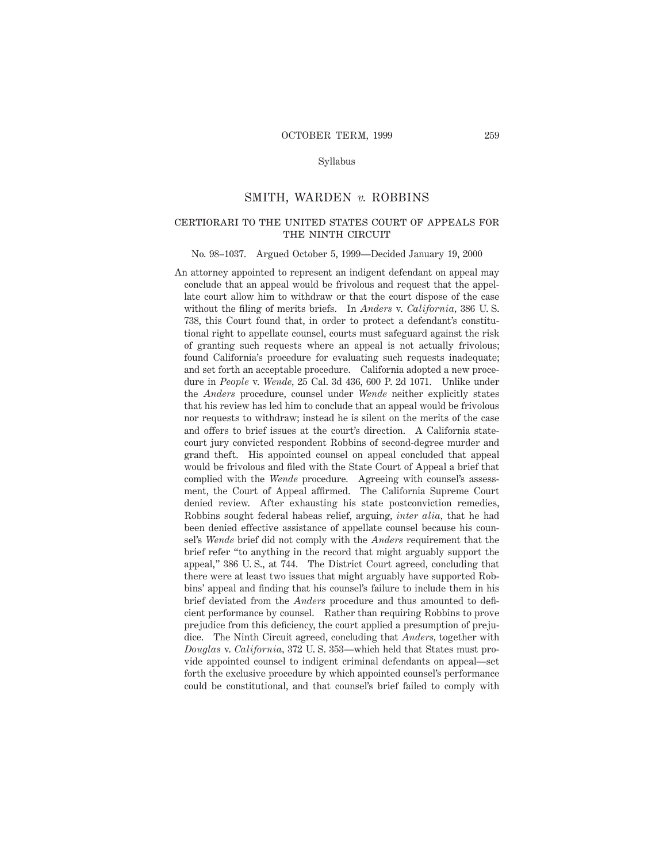### SMITH, WARDEN *v.* ROBBINS

# certiorari to the united states court of appeals for THE NINTH CIRCUIT

#### No. 98–1037. Argued October 5, 1999—Decided January 19, 2000

An attorney appointed to represent an indigent defendant on appeal may conclude that an appeal would be frivolous and request that the appellate court allow him to withdraw or that the court dispose of the case without the filing of merits briefs. In *Anders* v. *California,* 386 U. S. 738, this Court found that, in order to protect a defendant's constitutional right to appellate counsel, courts must safeguard against the risk of granting such requests where an appeal is not actually frivolous; found California's procedure for evaluating such requests inadequate; and set forth an acceptable procedure. California adopted a new procedure in *People* v. *Wende,* 25 Cal. 3d 436, 600 P. 2d 1071. Unlike under the *Anders* procedure, counsel under *Wende* neither explicitly states that his review has led him to conclude that an appeal would be frivolous nor requests to withdraw; instead he is silent on the merits of the case and offers to brief issues at the court's direction. A California statecourt jury convicted respondent Robbins of second-degree murder and grand theft. His appointed counsel on appeal concluded that appeal would be frivolous and filed with the State Court of Appeal a brief that complied with the *Wende* procedure. Agreeing with counsel's assessment, the Court of Appeal affirmed. The California Supreme Court denied review. After exhausting his state postconviction remedies, Robbins sought federal habeas relief, arguing, *inter alia,* that he had been denied effective assistance of appellate counsel because his counsel's *Wende* brief did not comply with the *Anders* requirement that the brief refer "to anything in the record that might arguably support the appeal," 386 U. S., at 744. The District Court agreed, concluding that there were at least two issues that might arguably have supported Robbins' appeal and finding that his counsel's failure to include them in his brief deviated from the *Anders* procedure and thus amounted to deficient performance by counsel. Rather than requiring Robbins to prove prejudice from this deficiency, the court applied a presumption of prejudice. The Ninth Circuit agreed, concluding that *Anders,* together with *Douglas* v. *California,* 372 U. S. 353—which held that States must provide appointed counsel to indigent criminal defendants on appeal—set forth the exclusive procedure by which appointed counsel's performance could be constitutional, and that counsel's brief failed to comply with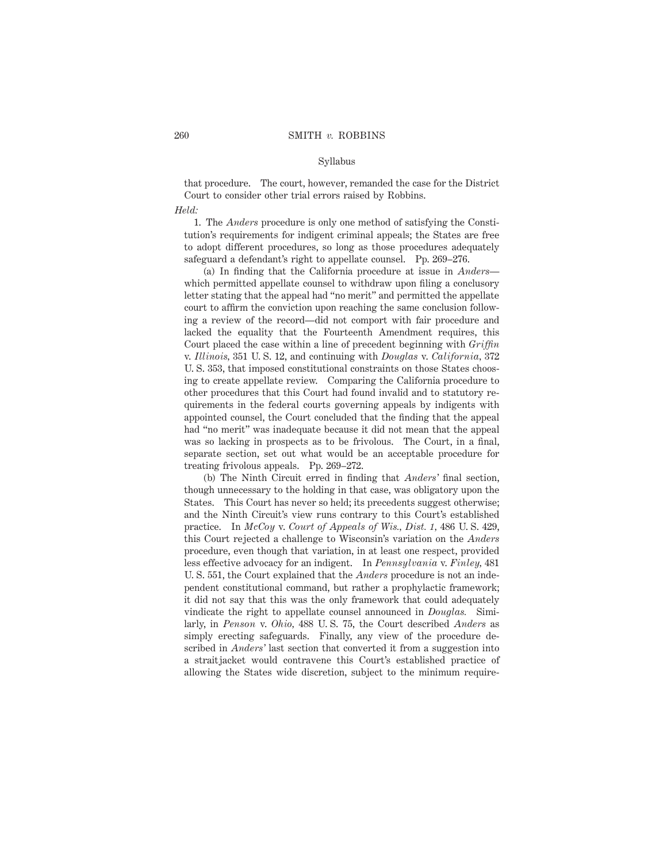that procedure. The court, however, remanded the case for the District Court to consider other trial errors raised by Robbins.

#### *Held:*

1. The *Anders* procedure is only one method of satisfying the Constitution's requirements for indigent criminal appeals; the States are free to adopt different procedures, so long as those procedures adequately safeguard a defendant's right to appellate counsel. Pp. 269–276.

(a) In finding that the California procedure at issue in *Anders* which permitted appellate counsel to withdraw upon filing a conclusory letter stating that the appeal had "no merit" and permitted the appellate court to affirm the conviction upon reaching the same conclusion following a review of the record—did not comport with fair procedure and lacked the equality that the Fourteenth Amendment requires, this Court placed the case within a line of precedent beginning with *Griffin* v. *Illinois,* 351 U. S. 12, and continuing with *Douglas* v. *California,* 372 U. S. 353, that imposed constitutional constraints on those States choosing to create appellate review. Comparing the California procedure to other procedures that this Court had found invalid and to statutory requirements in the federal courts governing appeals by indigents with appointed counsel, the Court concluded that the finding that the appeal had "no merit" was inadequate because it did not mean that the appeal was so lacking in prospects as to be frivolous. The Court, in a final, separate section, set out what would be an acceptable procedure for treating frivolous appeals. Pp. 269–272.

(b) The Ninth Circuit erred in finding that *Anders'* final section, though unnecessary to the holding in that case, was obligatory upon the States. This Court has never so held; its precedents suggest otherwise; and the Ninth Circuit's view runs contrary to this Court's established practice. In *McCoy* v. *Court of Appeals of Wis., Dist. 1,* 486 U. S. 429, this Court rejected a challenge to Wisconsin's variation on the *Anders* procedure, even though that variation, in at least one respect, provided less effective advocacy for an indigent. In *Pennsylvania* v. *Finley,* 481 U. S. 551, the Court explained that the *Anders* procedure is not an independent constitutional command, but rather a prophylactic framework; it did not say that this was the only framework that could adequately vindicate the right to appellate counsel announced in *Douglas.* Similarly, in *Penson* v. *Ohio,* 488 U. S. 75, the Court described *Anders* as simply erecting safeguards. Finally, any view of the procedure described in *Anders'* last section that converted it from a suggestion into a straitjacket would contravene this Court's established practice of allowing the States wide discretion, subject to the minimum require-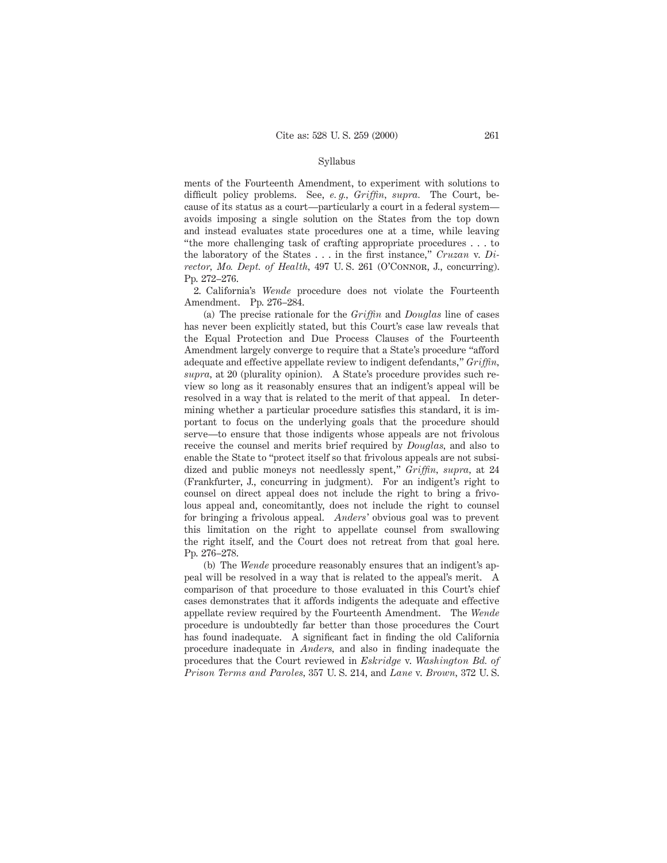ments of the Fourteenth Amendment, to experiment with solutions to difficult policy problems. See, *e. g., Griffin, supra.* The Court, because of its status as a court—particularly a court in a federal system avoids imposing a single solution on the States from the top down and instead evaluates state procedures one at a time, while leaving "the more challenging task of crafting appropriate procedures . . . to the laboratory of the States . . . in the first instance," *Cruzan* v. *Director, Mo. Dept. of Health,* 497 U.S. 261 (O'CONNOR, J., concurring). Pp. 272–276.

2. California's *Wende* procedure does not violate the Fourteenth Amendment. Pp. 276–284.

(a) The precise rationale for the *Griffin* and *Douglas* line of cases has never been explicitly stated, but this Court's case law reveals that the Equal Protection and Due Process Clauses of the Fourteenth Amendment largely converge to require that a State's procedure "afford adequate and effective appellate review to indigent defendants," *Griffin, supra,* at 20 (plurality opinion). A State's procedure provides such review so long as it reasonably ensures that an indigent's appeal will be resolved in a way that is related to the merit of that appeal. In determining whether a particular procedure satisfies this standard, it is important to focus on the underlying goals that the procedure should serve—to ensure that those indigents whose appeals are not frivolous receive the counsel and merits brief required by *Douglas,* and also to enable the State to "protect itself so that frivolous appeals are not subsidized and public moneys not needlessly spent," *Griffin, supra,* at 24 (Frankfurter, J., concurring in judgment). For an indigent's right to counsel on direct appeal does not include the right to bring a frivolous appeal and, concomitantly, does not include the right to counsel for bringing a frivolous appeal. *Anders'* obvious goal was to prevent this limitation on the right to appellate counsel from swallowing the right itself, and the Court does not retreat from that goal here. Pp. 276–278.

(b) The *Wende* procedure reasonably ensures that an indigent's appeal will be resolved in a way that is related to the appeal's merit. A comparison of that procedure to those evaluated in this Court's chief cases demonstrates that it affords indigents the adequate and effective appellate review required by the Fourteenth Amendment. The *Wende* procedure is undoubtedly far better than those procedures the Court has found inadequate. A significant fact in finding the old California procedure inadequate in *Anders,* and also in finding inadequate the procedures that the Court reviewed in *Eskridge* v. *Washington Bd. of Prison Terms and Paroles,* 357 U. S. 214, and *Lane* v. *Brown,* 372 U. S.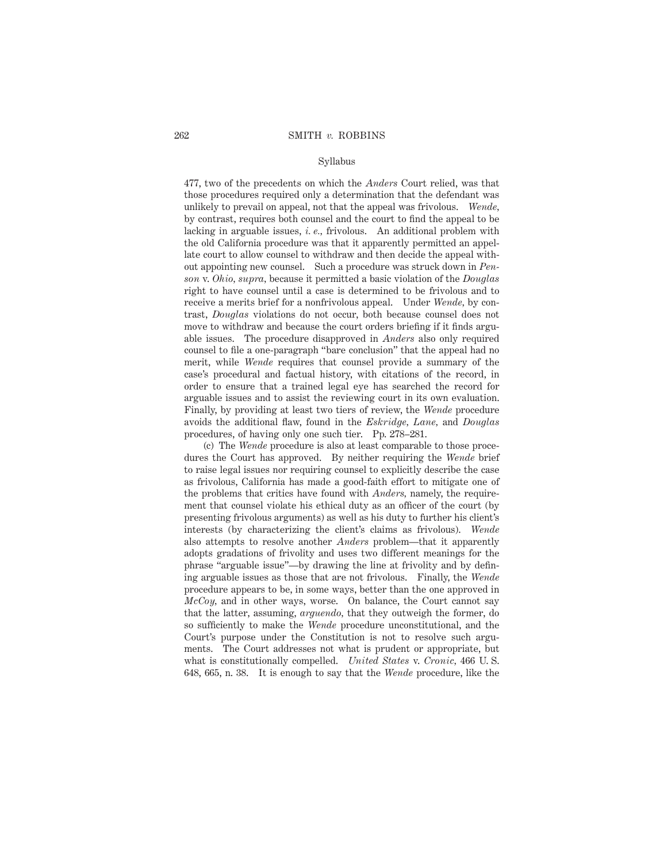477, two of the precedents on which the *Anders* Court relied, was that those procedures required only a determination that the defendant was unlikely to prevail on appeal, not that the appeal was frivolous. *Wende,* by contrast, requires both counsel and the court to find the appeal to be lacking in arguable issues, *i. e.,* frivolous. An additional problem with the old California procedure was that it apparently permitted an appellate court to allow counsel to withdraw and then decide the appeal without appointing new counsel. Such a procedure was struck down in *Penson* v. *Ohio, supra,* because it permitted a basic violation of the *Douglas* right to have counsel until a case is determined to be frivolous and to receive a merits brief for a nonfrivolous appeal. Under *Wende,* by contrast, *Douglas* violations do not occur, both because counsel does not move to withdraw and because the court orders briefing if it finds arguable issues. The procedure disapproved in *Anders* also only required counsel to file a one-paragraph "bare conclusion" that the appeal had no merit, while *Wende* requires that counsel provide a summary of the case's procedural and factual history, with citations of the record, in order to ensure that a trained legal eye has searched the record for arguable issues and to assist the reviewing court in its own evaluation. Finally, by providing at least two tiers of review, the *Wende* procedure avoids the additional flaw, found in the *Eskridge, Lane,* and *Douglas* procedures, of having only one such tier. Pp. 278–281.

(c) The *Wende* procedure is also at least comparable to those procedures the Court has approved. By neither requiring the *Wende* brief to raise legal issues nor requiring counsel to explicitly describe the case as frivolous, California has made a good-faith effort to mitigate one of the problems that critics have found with *Anders,* namely, the requirement that counsel violate his ethical duty as an officer of the court (by presenting frivolous arguments) as well as his duty to further his client's interests (by characterizing the client's claims as frivolous). *Wende* also attempts to resolve another *Anders* problem—that it apparently adopts gradations of frivolity and uses two different meanings for the phrase "arguable issue"—by drawing the line at frivolity and by defining arguable issues as those that are not frivolous. Finally, the *Wende* procedure appears to be, in some ways, better than the one approved in *McCoy,* and in other ways, worse. On balance, the Court cannot say that the latter, assuming, *arguendo,* that they outweigh the former, do so sufficiently to make the *Wende* procedure unconstitutional, and the Court's purpose under the Constitution is not to resolve such arguments. The Court addresses not what is prudent or appropriate, but what is constitutionally compelled. *United States* v. *Cronic,* 466 U. S. 648, 665, n. 38. It is enough to say that the *Wende* procedure, like the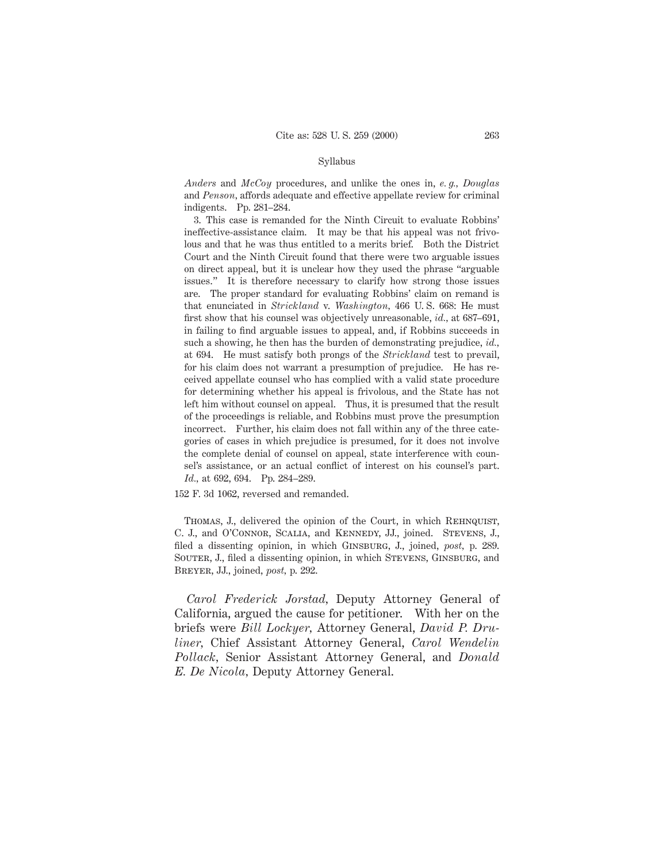*Anders* and *McCoy* procedures, and unlike the ones in, *e. g., Douglas* and *Penson,* affords adequate and effective appellate review for criminal indigents. Pp. 281–284.

3. This case is remanded for the Ninth Circuit to evaluate Robbins' ineffective-assistance claim. It may be that his appeal was not frivolous and that he was thus entitled to a merits brief. Both the District Court and the Ninth Circuit found that there were two arguable issues on direct appeal, but it is unclear how they used the phrase "arguable issues." It is therefore necessary to clarify how strong those issues are. The proper standard for evaluating Robbins' claim on remand is that enunciated in *Strickland* v. *Washington,* 466 U. S. 668: He must first show that his counsel was objectively unreasonable, *id.,* at 687–691, in failing to find arguable issues to appeal, and, if Robbins succeeds in such a showing, he then has the burden of demonstrating prejudice, *id.,* at 694. He must satisfy both prongs of the *Strickland* test to prevail, for his claim does not warrant a presumption of prejudice. He has received appellate counsel who has complied with a valid state procedure for determining whether his appeal is frivolous, and the State has not left him without counsel on appeal. Thus, it is presumed that the result of the proceedings is reliable, and Robbins must prove the presumption incorrect. Further, his claim does not fall within any of the three categories of cases in which prejudice is presumed, for it does not involve the complete denial of counsel on appeal, state interference with counsel's assistance, or an actual conflict of interest on his counsel's part. *Id.,* at 692, 694. Pp. 284–289.

152 F. 3d 1062, reversed and remanded.

THOMAS, J., delivered the opinion of the Court, in which REHNQUIST, C. J., and O'Connor, Scalia, and Kennedy, JJ., joined. Stevens, J., filed a dissenting opinion, in which Ginsburg, J., joined, *post,* p. 289. SOUTER, J., filed a dissenting opinion, in which STEVENS, GINSBURG, and Breyer, JJ., joined, *post,* p. 292.

*Carol Frederick Jorstad,* Deputy Attorney General of California, argued the cause for petitioner. With her on the briefs were *Bill Lockyer,* Attorney General, *David P. Druliner,* Chief Assistant Attorney General, *Carol Wendelin Pollack,* Senior Assistant Attorney General, and *Donald E. De Nicola,* Deputy Attorney General.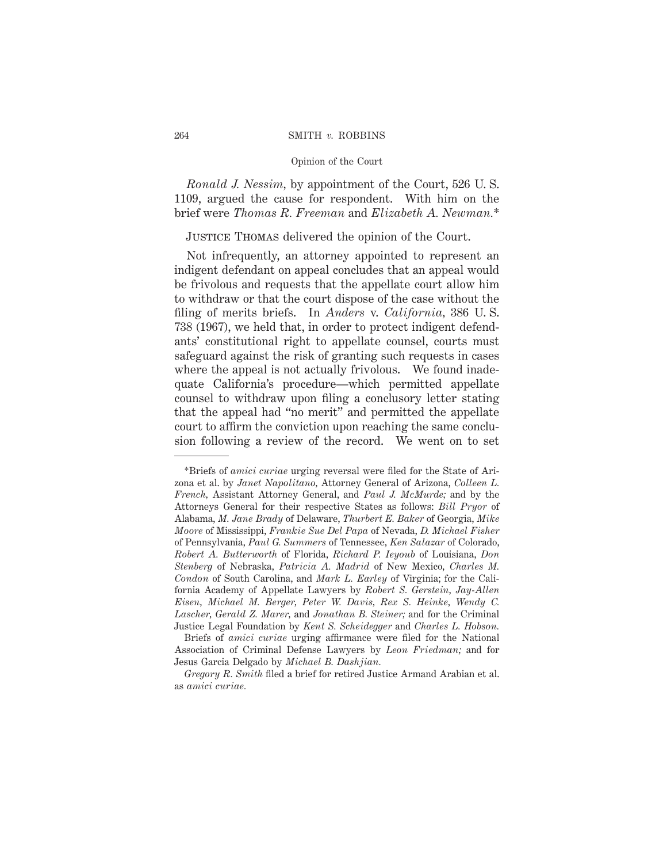*Ronald J. Nessim,* by appointment of the Court, 526 U. S. 1109, argued the cause for respondent. With him on the brief were *Thomas R. Freeman* and *Elizabeth A. Newman.*\*

# Justice Thomas delivered the opinion of the Court.

Not infrequently, an attorney appointed to represent an indigent defendant on appeal concludes that an appeal would be frivolous and requests that the appellate court allow him to withdraw or that the court dispose of the case without the filing of merits briefs. In *Anders* v. *California,* 386 U. S. 738 (1967), we held that, in order to protect indigent defendants' constitutional right to appellate counsel, courts must safeguard against the risk of granting such requests in cases where the appeal is not actually frivolous. We found inadequate California's procedure—which permitted appellate counsel to withdraw upon filing a conclusory letter stating that the appeal had "no merit" and permitted the appellate court to affirm the conviction upon reaching the same conclusion following a review of the record. We went on to set

<sup>\*</sup>Briefs of *amici curiae* urging reversal were filed for the State of Arizona et al. by *Janet Napolitano,* Attorney General of Arizona, *Colleen L. French,* Assistant Attorney General, and *Paul J. McMurde;* and by the Attorneys General for their respective States as follows: *Bill Pryor* of Alabama, *M. Jane Brady* of Delaware, *Thurbert E. Baker* of Georgia, *Mike Moore* of Mississippi, *Frankie Sue Del Papa* of Nevada, *D. Michael Fisher* of Pennsylvania, *Paul G. Summers* of Tennessee, *Ken Salazar* of Colorado, *Robert A. Butterworth* of Florida, *Richard P. Ieyoub* of Louisiana, *Don Stenberg* of Nebraska, *Patricia A. Madrid* of New Mexico, *Charles M. Condon* of South Carolina, and *Mark L. Earley* of Virginia; for the California Academy of Appellate Lawyers by *Robert S. Gerstein, Jay-Allen Eisen, Michael M. Berger, Peter W. Davis, Rex S. Heinke, Wendy C. Lascher, Gerald Z. Marer,* and *Jonathan B. Steiner;* and for the Criminal Justice Legal Foundation by *Kent S. Scheidegger* and *Charles L. Hobson.*

Briefs of *amici curiae* urging affirmance were filed for the National Association of Criminal Defense Lawyers by *Leon Friedman;* and for Jesus Garcia Delgado by *Michael B. Dashjian.*

*Gregory R. Smith* filed a brief for retired Justice Armand Arabian et al. as *amici curiae.*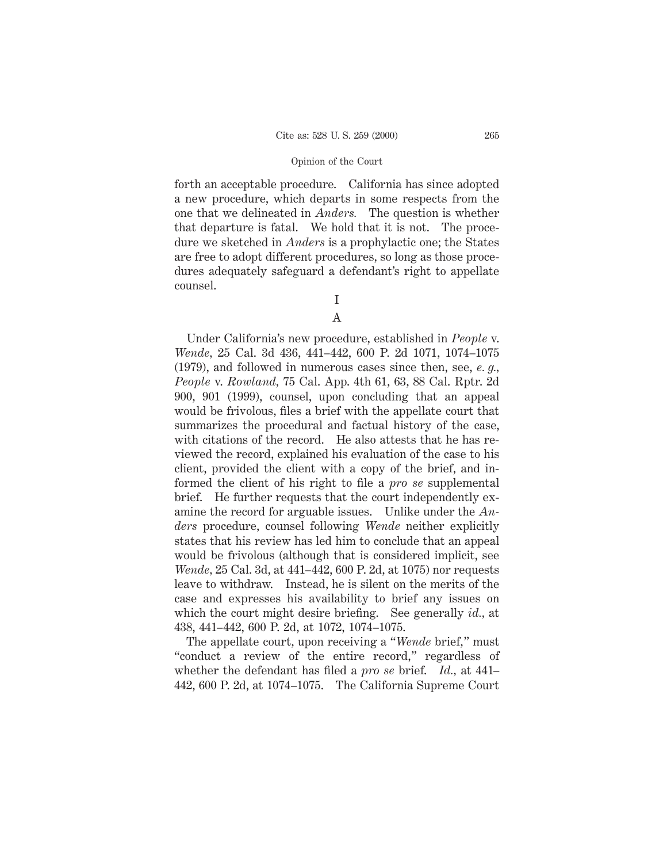forth an acceptable procedure. California has since adopted a new procedure, which departs in some respects from the one that we delineated in *Anders.* The question is whether that departure is fatal. We hold that it is not. The procedure we sketched in *Anders* is a prophylactic one; the States are free to adopt different procedures, so long as those procedures adequately safeguard a defendant's right to appellate counsel.

I

### A

Under California's new procedure, established in *People* v. *Wende,* 25 Cal. 3d 436, 441–442, 600 P. 2d 1071, 1074–1075 (1979), and followed in numerous cases since then, see, *e. g., People* v. *Rowland,* 75 Cal. App. 4th 61, 63, 88 Cal. Rptr. 2d 900, 901 (1999), counsel, upon concluding that an appeal would be frivolous, files a brief with the appellate court that summarizes the procedural and factual history of the case, with citations of the record. He also attests that he has reviewed the record, explained his evaluation of the case to his client, provided the client with a copy of the brief, and informed the client of his right to file a *pro se* supplemental brief. He further requests that the court independently examine the record for arguable issues. Unlike under the *Anders* procedure, counsel following *Wende* neither explicitly states that his review has led him to conclude that an appeal would be frivolous (although that is considered implicit, see *Wende,* 25 Cal. 3d, at 441–442, 600 P. 2d, at 1075) nor requests leave to withdraw. Instead, he is silent on the merits of the case and expresses his availability to brief any issues on which the court might desire briefing. See generally *id.,* at 438, 441–442, 600 P. 2d, at 1072, 1074–1075.

The appellate court, upon receiving a "*Wende* brief," must "conduct a review of the entire record," regardless of whether the defendant has filed a *pro se* brief. *Id.,* at 441– 442, 600 P. 2d, at 1074–1075. The California Supreme Court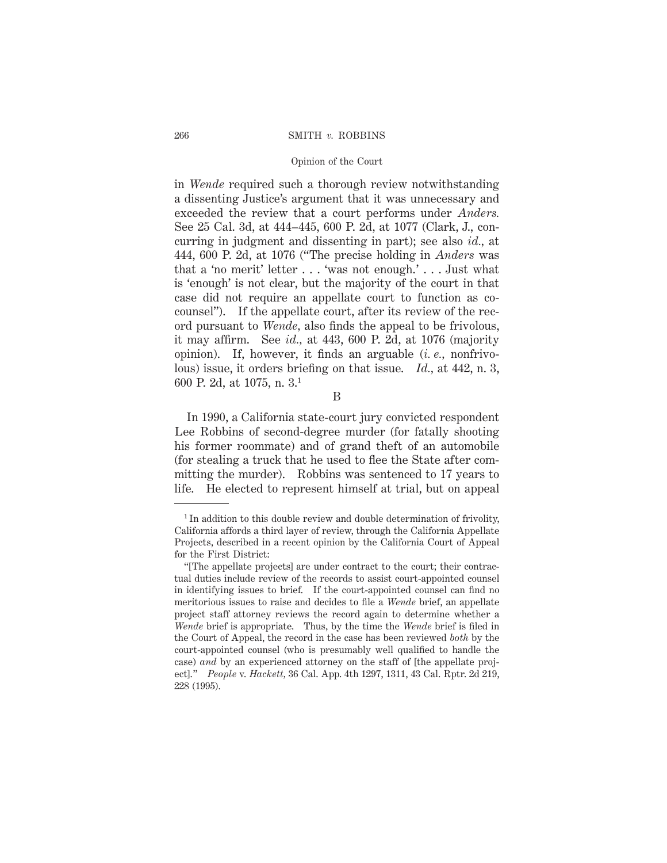in *Wende* required such a thorough review notwithstanding a dissenting Justice's argument that it was unnecessary and exceeded the review that a court performs under *Anders.* See 25 Cal. 3d, at 444–445, 600 P. 2d, at 1077 (Clark, J., concurring in judgment and dissenting in part); see also *id.,* at 444, 600 P. 2d, at 1076 ("The precise holding in *Anders* was that a 'no merit' letter . . . 'was not enough.' . . . Just what is 'enough' is not clear, but the majority of the court in that case did not require an appellate court to function as cocounsel"). If the appellate court, after its review of the record pursuant to *Wende,* also finds the appeal to be frivolous, it may affirm. See *id.,* at 443, 600 P. 2d, at 1076 (majority opinion). If, however, it finds an arguable (*i. e.,* nonfrivolous) issue, it orders briefing on that issue. *Id.,* at 442, n. 3, 600 P. 2d, at 1075, n. 3.1

B

In 1990, a California state-court jury convicted respondent Lee Robbins of second-degree murder (for fatally shooting his former roommate) and of grand theft of an automobile (for stealing a truck that he used to flee the State after committing the murder). Robbins was sentenced to 17 years to life. He elected to represent himself at trial, but on appeal

<sup>&</sup>lt;sup>1</sup> In addition to this double review and double determination of frivolity, California affords a third layer of review, through the California Appellate Projects, described in a recent opinion by the California Court of Appeal for the First District:

<sup>&</sup>quot;[The appellate projects] are under contract to the court; their contractual duties include review of the records to assist court-appointed counsel in identifying issues to brief. If the court-appointed counsel can find no meritorious issues to raise and decides to file a *Wende* brief, an appellate project staff attorney reviews the record again to determine whether a *Wende* brief is appropriate. Thus, by the time the *Wende* brief is filed in the Court of Appeal, the record in the case has been reviewed *both* by the court-appointed counsel (who is presumably well qualified to handle the case) *and* by an experienced attorney on the staff of [the appellate project]." *People* v. *Hackett,* 36 Cal. App. 4th 1297, 1311, 43 Cal. Rptr. 2d 219, 228 (1995).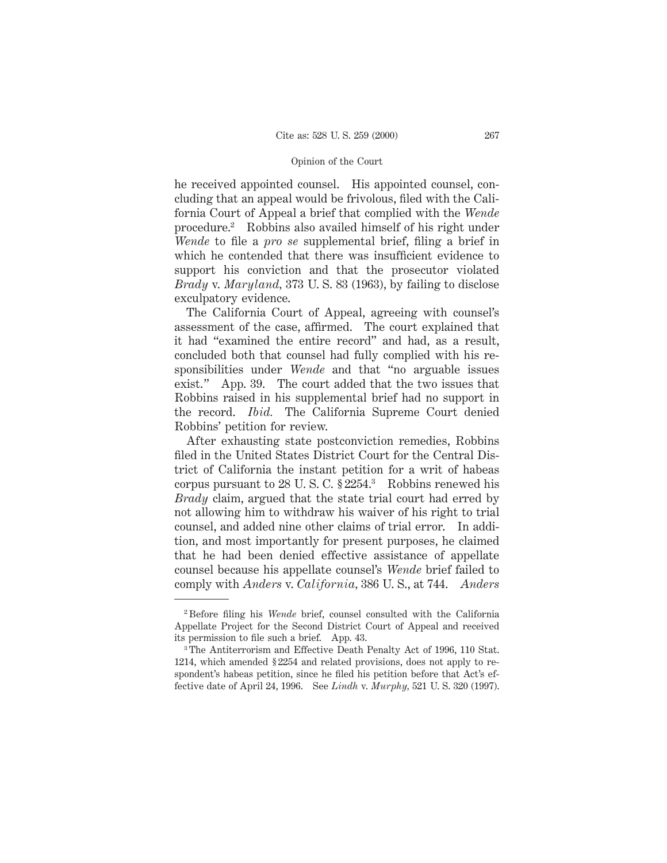he received appointed counsel. His appointed counsel, concluding that an appeal would be frivolous, filed with the California Court of Appeal a brief that complied with the *Wende* procedure.2 Robbins also availed himself of his right under *Wende* to file a *pro se* supplemental brief, filing a brief in which he contended that there was insufficient evidence to support his conviction and that the prosecutor violated *Brady* v. *Maryland,* 373 U. S. 83 (1963), by failing to disclose exculpatory evidence.

The California Court of Appeal, agreeing with counsel's assessment of the case, affirmed. The court explained that it had "examined the entire record" and had, as a result, concluded both that counsel had fully complied with his responsibilities under *Wende* and that "no arguable issues exist." App. 39. The court added that the two issues that Robbins raised in his supplemental brief had no support in the record. *Ibid.* The California Supreme Court denied Robbins' petition for review.

After exhausting state postconviction remedies, Robbins filed in the United States District Court for the Central District of California the instant petition for a writ of habeas corpus pursuant to 28 U. S. C. § 2254.3 Robbins renewed his *Brady* claim, argued that the state trial court had erred by not allowing him to withdraw his waiver of his right to trial counsel, and added nine other claims of trial error. In addition, and most importantly for present purposes, he claimed that he had been denied effective assistance of appellate counsel because his appellate counsel's *Wende* brief failed to comply with *Anders* v. *California,* 386 U. S., at 744. *Anders*

<sup>2</sup> Before filing his *Wende* brief, counsel consulted with the California Appellate Project for the Second District Court of Appeal and received its permission to file such a brief. App. 43.

<sup>3</sup> The Antiterrorism and Effective Death Penalty Act of 1996, 110 Stat. 1214, which amended § 2254 and related provisions, does not apply to respondent's habeas petition, since he filed his petition before that Act's effective date of April 24, 1996. See *Lindh* v. *Murphy,* 521 U. S. 320 (1997).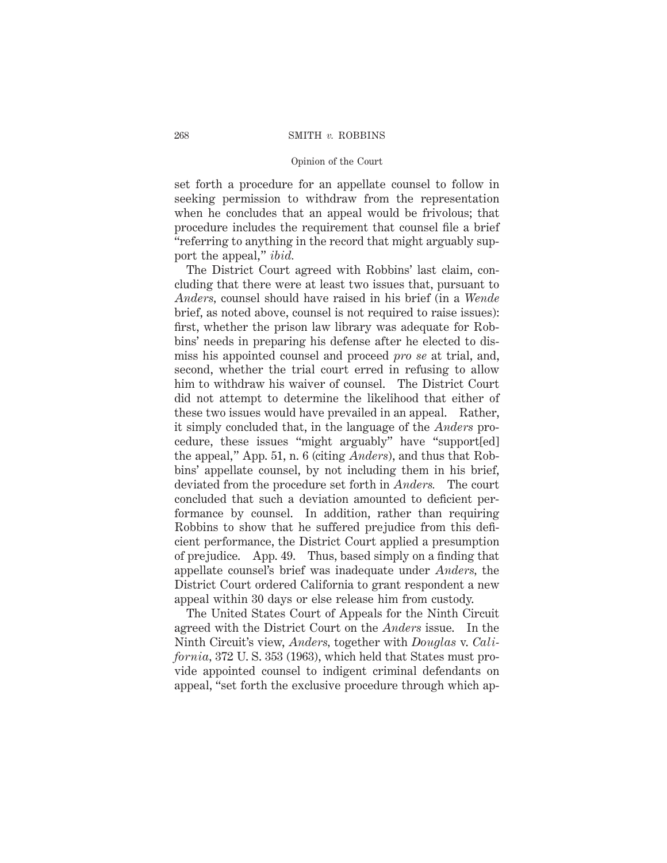set forth a procedure for an appellate counsel to follow in seeking permission to withdraw from the representation when he concludes that an appeal would be frivolous; that procedure includes the requirement that counsel file a brief "referring to anything in the record that might arguably support the appeal," *ibid.*

The District Court agreed with Robbins' last claim, concluding that there were at least two issues that, pursuant to *Anders,* counsel should have raised in his brief (in a *Wende* brief, as noted above, counsel is not required to raise issues): first, whether the prison law library was adequate for Robbins' needs in preparing his defense after he elected to dismiss his appointed counsel and proceed *pro se* at trial, and, second, whether the trial court erred in refusing to allow him to withdraw his waiver of counsel. The District Court did not attempt to determine the likelihood that either of these two issues would have prevailed in an appeal. Rather, it simply concluded that, in the language of the *Anders* procedure, these issues "might arguably" have "support[ed] the appeal," App. 51, n. 6 (citing *Anders*), and thus that Robbins' appellate counsel, by not including them in his brief, deviated from the procedure set forth in *Anders.* The court concluded that such a deviation amounted to deficient performance by counsel. In addition, rather than requiring Robbins to show that he suffered prejudice from this deficient performance, the District Court applied a presumption of prejudice. App. 49. Thus, based simply on a finding that appellate counsel's brief was inadequate under *Anders,* the District Court ordered California to grant respondent a new appeal within 30 days or else release him from custody.

The United States Court of Appeals for the Ninth Circuit agreed with the District Court on the *Anders* issue. In the Ninth Circuit's view, *Anders,* together with *Douglas* v. *California,* 372 U. S. 353 (1963), which held that States must provide appointed counsel to indigent criminal defendants on appeal, "set forth the exclusive procedure through which ap-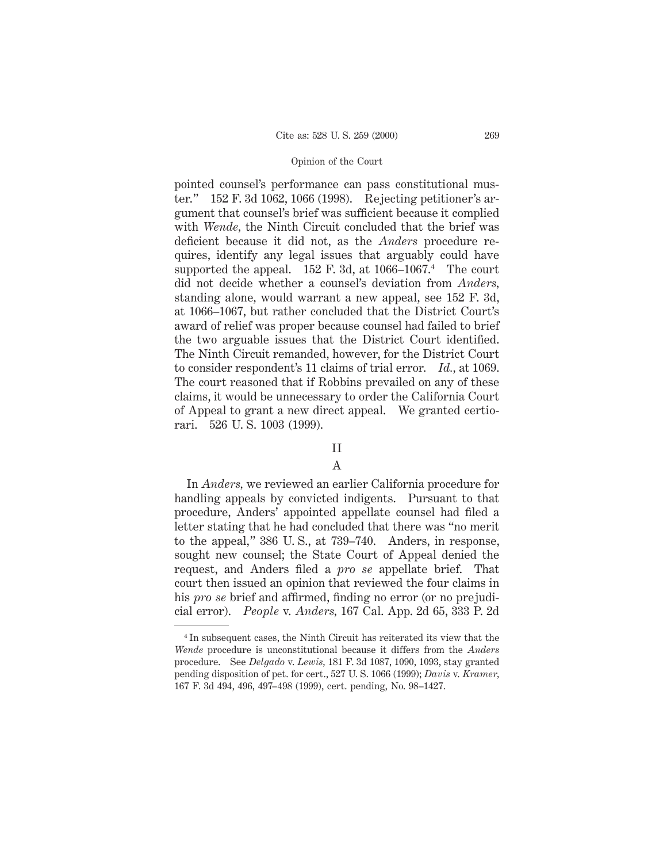pointed counsel's performance can pass constitutional muster." 152 F. 3d 1062, 1066 (1998). Rejecting petitioner's argument that counsel's brief was sufficient because it complied with *Wende,* the Ninth Circuit concluded that the brief was deficient because it did not, as the *Anders* procedure requires, identify any legal issues that arguably could have supported the appeal.  $152$  F. 3d, at  $1066-1067$ <sup>4</sup> The court did not decide whether a counsel's deviation from *Anders,* standing alone, would warrant a new appeal, see 152 F. 3d, at 1066–1067, but rather concluded that the District Court's award of relief was proper because counsel had failed to brief the two arguable issues that the District Court identified. The Ninth Circuit remanded, however, for the District Court to consider respondent's 11 claims of trial error. *Id.,* at 1069. The court reasoned that if Robbins prevailed on any of these claims, it would be unnecessary to order the California Court of Appeal to grant a new direct appeal. We granted certiorari. 526 U. S. 1003 (1999).

# II

# A

In *Anders,* we reviewed an earlier California procedure for handling appeals by convicted indigents. Pursuant to that procedure, Anders' appointed appellate counsel had filed a letter stating that he had concluded that there was "no merit to the appeal," 386 U. S., at 739–740. Anders, in response, sought new counsel; the State Court of Appeal denied the request, and Anders filed a *pro se* appellate brief. That court then issued an opinion that reviewed the four claims in his *pro se* brief and affirmed, finding no error (or no prejudicial error). *People* v. *Anders,* 167 Cal. App. 2d 65, 333 P. 2d

<sup>4</sup> In subsequent cases, the Ninth Circuit has reiterated its view that the *Wende* procedure is unconstitutional because it differs from the *Anders* procedure. See *Delgado* v. *Lewis,* 181 F. 3d 1087, 1090, 1093, stay granted pending disposition of pet. for cert., 527 U. S. 1066 (1999); *Davis* v. *Kramer,* 167 F. 3d 494, 496, 497–498 (1999), cert. pending, No. 98–1427.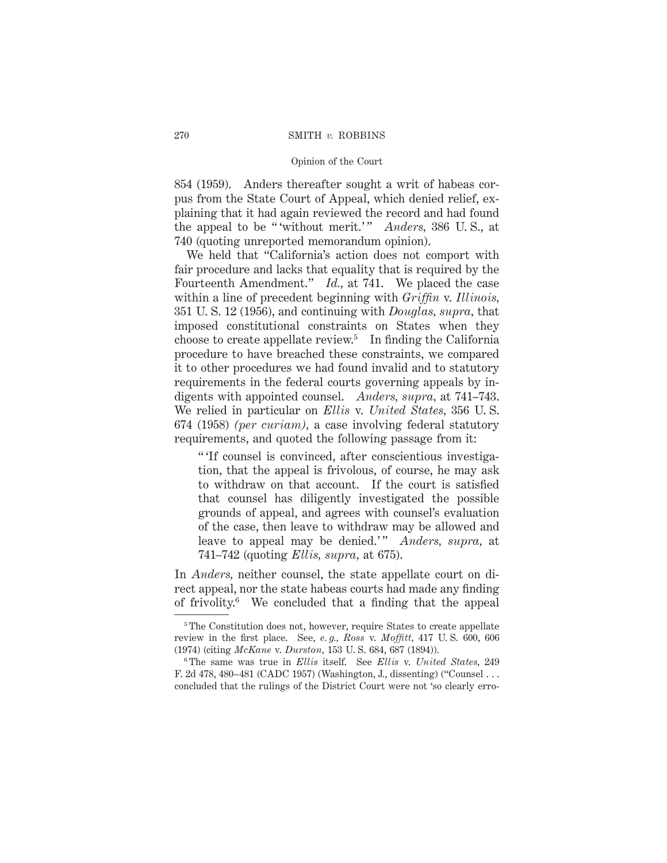854 (1959). Anders thereafter sought a writ of habeas corpus from the State Court of Appeal, which denied relief, explaining that it had again reviewed the record and had found the appeal to be "without merit.'" *Anders*, 386 U.S., at 740 (quoting unreported memorandum opinion).

We held that "California's action does not comport with fair procedure and lacks that equality that is required by the Fourteenth Amendment." *Id.,* at 741. We placed the case within a line of precedent beginning with *Griffin* v. *Illinois,* 351 U. S. 12 (1956), and continuing with *Douglas, supra,* that imposed constitutional constraints on States when they choose to create appellate review.<sup>5</sup> In finding the California procedure to have breached these constraints, we compared it to other procedures we had found invalid and to statutory requirements in the federal courts governing appeals by indigents with appointed counsel. *Anders, supra,* at 741–743. We relied in particular on *Ellis* v. *United States,* 356 U. S. 674 (1958) *(per curiam),* a case involving federal statutory requirements, and quoted the following passage from it:

" 'If counsel is convinced, after conscientious investigation, that the appeal is frivolous, of course, he may ask to withdraw on that account. If the court is satisfied that counsel has diligently investigated the possible grounds of appeal, and agrees with counsel's evaluation of the case, then leave to withdraw may be allowed and leave to appeal may be denied.'" *Anders, supra,* at 741–742 (quoting *Ellis, supra,* at 675).

In *Anders,* neither counsel, the state appellate court on direct appeal, nor the state habeas courts had made any finding of frivolity.6 We concluded that a finding that the appeal

<sup>&</sup>lt;sup>5</sup> The Constitution does not, however, require States to create appellate review in the first place. See, *e. g., Ross* v. *Moffitt,* 417 U. S. 600, 606 (1974) (citing *McKane* v. *Durston,* 153 U. S. 684, 687 (1894)).

<sup>6</sup> The same was true in *Ellis* itself. See *Ellis* v. *United States,* 249 F. 2d 478, 480–481 (CADC 1957) (Washington, J., dissenting) ("Counsel . . . concluded that the rulings of the District Court were not 'so clearly erro-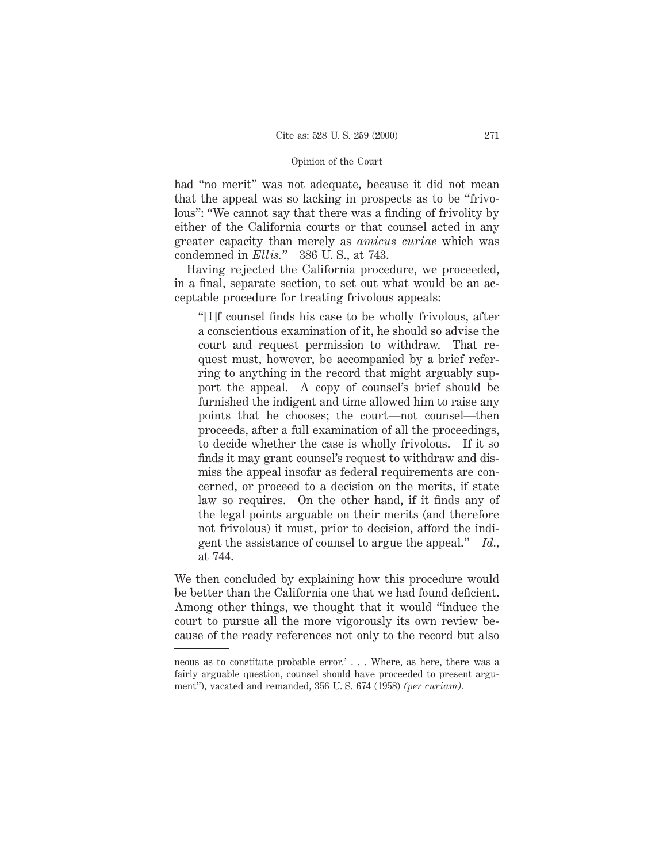had "no merit" was not adequate, because it did not mean that the appeal was so lacking in prospects as to be "frivolous": "We cannot say that there was a finding of frivolity by either of the California courts or that counsel acted in any greater capacity than merely as *amicus curiae* which was condemned in *Ellis.*" 386 U. S., at 743.

Having rejected the California procedure, we proceeded, in a final, separate section, to set out what would be an acceptable procedure for treating frivolous appeals:

"[I]f counsel finds his case to be wholly frivolous, after a conscientious examination of it, he should so advise the court and request permission to withdraw. That request must, however, be accompanied by a brief referring to anything in the record that might arguably support the appeal. A copy of counsel's brief should be furnished the indigent and time allowed him to raise any points that he chooses; the court—not counsel—then proceeds, after a full examination of all the proceedings, to decide whether the case is wholly frivolous. If it so finds it may grant counsel's request to withdraw and dismiss the appeal insofar as federal requirements are concerned, or proceed to a decision on the merits, if state law so requires. On the other hand, if it finds any of the legal points arguable on their merits (and therefore not frivolous) it must, prior to decision, afford the indigent the assistance of counsel to argue the appeal." *Id.,* at 744.

We then concluded by explaining how this procedure would be better than the California one that we had found deficient. Among other things, we thought that it would "induce the court to pursue all the more vigorously its own review because of the ready references not only to the record but also

neous as to constitute probable error.' . . . Where, as here, there was a fairly arguable question, counsel should have proceeded to present argument"), vacated and remanded, 356 U. S. 674 (1958) *(per curiam).*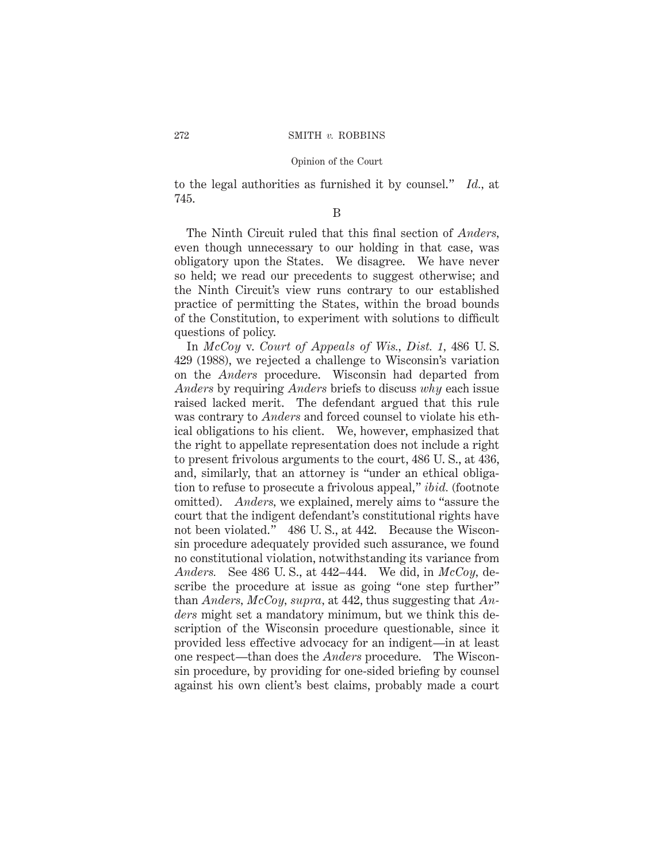to the legal authorities as furnished it by counsel." *Id.,* at 745.

B

The Ninth Circuit ruled that this final section of *Anders,* even though unnecessary to our holding in that case, was obligatory upon the States. We disagree. We have never so held; we read our precedents to suggest otherwise; and the Ninth Circuit's view runs contrary to our established practice of permitting the States, within the broad bounds of the Constitution, to experiment with solutions to difficult questions of policy.

In *McCoy* v. *Court of Appeals of Wis., Dist. 1,* 486 U. S. 429 (1988), we rejected a challenge to Wisconsin's variation on the *Anders* procedure. Wisconsin had departed from *Anders* by requiring *Anders* briefs to discuss *why* each issue raised lacked merit. The defendant argued that this rule was contrary to *Anders* and forced counsel to violate his ethical obligations to his client. We, however, emphasized that the right to appellate representation does not include a right to present frivolous arguments to the court, 486 U. S., at 436, and, similarly, that an attorney is "under an ethical obligation to refuse to prosecute a frivolous appeal," *ibid.* (footnote omitted). *Anders,* we explained, merely aims to "assure the court that the indigent defendant's constitutional rights have not been violated." 486 U. S., at 442. Because the Wisconsin procedure adequately provided such assurance, we found no constitutional violation, notwithstanding its variance from *Anders.* See 486 U. S., at 442–444. We did, in *McCoy,* describe the procedure at issue as going "one step further" than *Anders, McCoy, supra,* at 442, thus suggesting that *Anders* might set a mandatory minimum, but we think this description of the Wisconsin procedure questionable, since it provided less effective advocacy for an indigent—in at least one respect—than does the *Anders* procedure. The Wisconsin procedure, by providing for one-sided briefing by counsel against his own client's best claims, probably made a court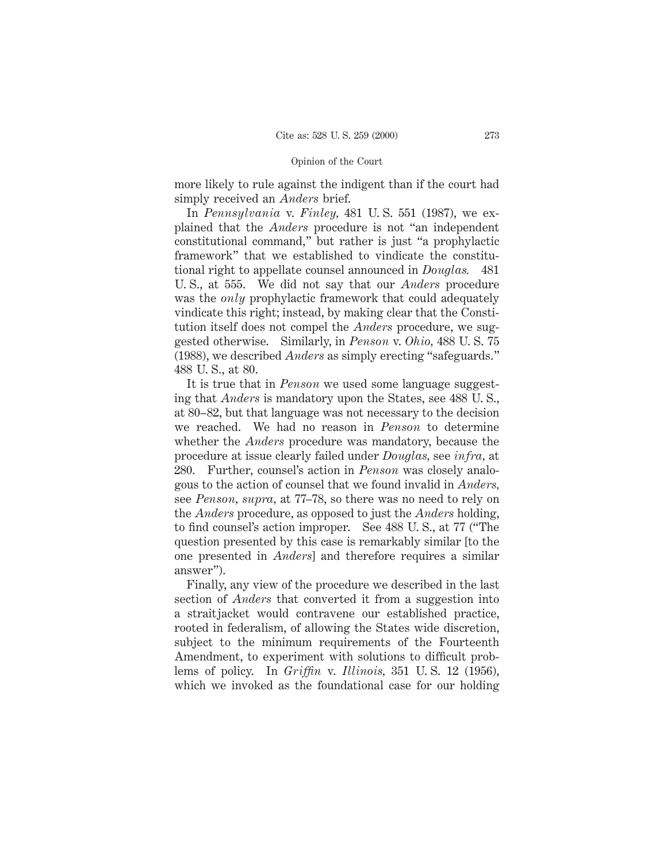more likely to rule against the indigent than if the court had simply received an *Anders* brief.

In *Pennsylvania* v. *Finley,* 481 U. S. 551 (1987), we explained that the *Anders* procedure is not "an independent constitutional command," but rather is just "a prophylactic framework" that we established to vindicate the constitutional right to appellate counsel announced in *Douglas.* 481 U. S., at 555. We did not say that our *Anders* procedure was the *only* prophylactic framework that could adequately vindicate this right; instead, by making clear that the Constitution itself does not compel the *Anders* procedure, we suggested otherwise. Similarly, in *Penson* v. *Ohio,* 488 U. S. 75 (1988), we described *Anders* as simply erecting "safeguards." 488 U. S., at 80.

It is true that in *Penson* we used some language suggesting that *Anders* is mandatory upon the States, see 488 U. S., at 80–82, but that language was not necessary to the decision we reached. We had no reason in *Penson* to determine whether the *Anders* procedure was mandatory, because the procedure at issue clearly failed under *Douglas,* see *infra,* at 280. Further, counsel's action in *Penson* was closely analogous to the action of counsel that we found invalid in *Anders,* see *Penson, supra,* at 77–78, so there was no need to rely on the *Anders* procedure, as opposed to just the *Anders* holding, to find counsel's action improper. See 488 U. S., at 77 ("The question presented by this case is remarkably similar [to the one presented in *Anders*] and therefore requires a similar answer").

Finally, any view of the procedure we described in the last section of *Anders* that converted it from a suggestion into a straitjacket would contravene our established practice, rooted in federalism, of allowing the States wide discretion, subject to the minimum requirements of the Fourteenth Amendment, to experiment with solutions to difficult problems of policy. In *Griffin* v. *Illinois,* 351 U. S. 12 (1956), which we invoked as the foundational case for our holding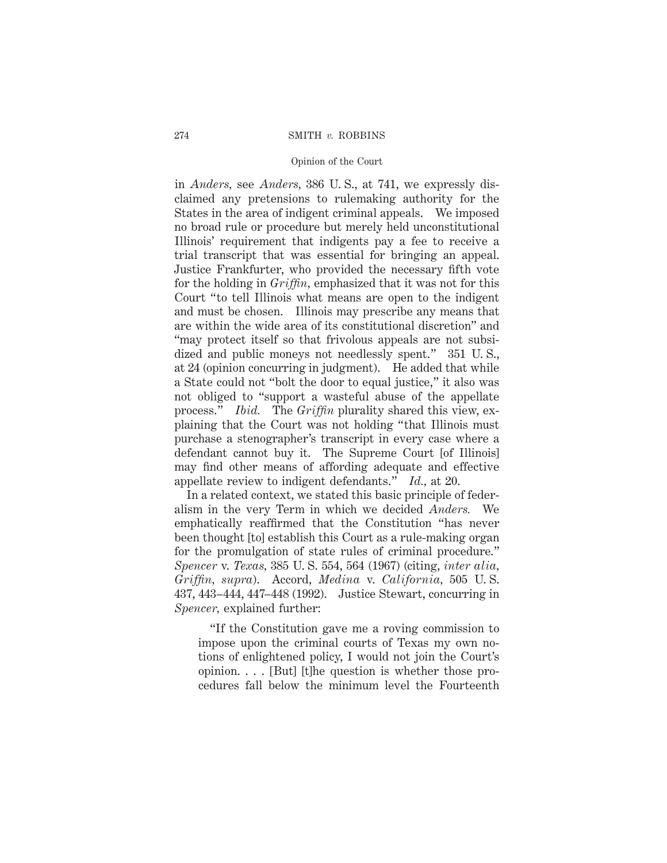in *Anders,* see *Anders,* 386 U. S., at 741, we expressly disclaimed any pretensions to rulemaking authority for the States in the area of indigent criminal appeals. We imposed no broad rule or procedure but merely held unconstitutional Illinois' requirement that indigents pay a fee to receive a trial transcript that was essential for bringing an appeal. Justice Frankfurter, who provided the necessary fifth vote for the holding in *Griffin,* emphasized that it was not for this Court "to tell Illinois what means are open to the indigent and must be chosen. Illinois may prescribe any means that are within the wide area of its constitutional discretion" and "may protect itself so that frivolous appeals are not subsidized and public moneys not needlessly spent." 351 U. S., at 24 (opinion concurring in judgment). He added that while a State could not "bolt the door to equal justice," it also was not obliged to "support a wasteful abuse of the appellate process." *Ibid.* The *Griffin* plurality shared this view, explaining that the Court was not holding "that Illinois must purchase a stenographer's transcript in every case where a defendant cannot buy it. The Supreme Court [of Illinois] may find other means of affording adequate and effective appellate review to indigent defendants." *Id.,* at 20.

In a related context, we stated this basic principle of federalism in the very Term in which we decided *Anders.* We emphatically reaffirmed that the Constitution "has never been thought [to] establish this Court as a rule-making organ for the promulgation of state rules of criminal procedure." *Spencer* v. *Texas,* 385 U. S. 554, 564 (1967) (citing, *inter alia, Griffin, supra*). Accord, *Medina* v. *California,* 505 U. S. 437, 443–444, 447–448 (1992). Justice Stewart, concurring in *Spencer,* explained further:

"If the Constitution gave me a roving commission to impose upon the criminal courts of Texas my own notions of enlightened policy, I would not join the Court's opinion. . . . [But] [t]he question is whether those procedures fall below the minimum level the Fourteenth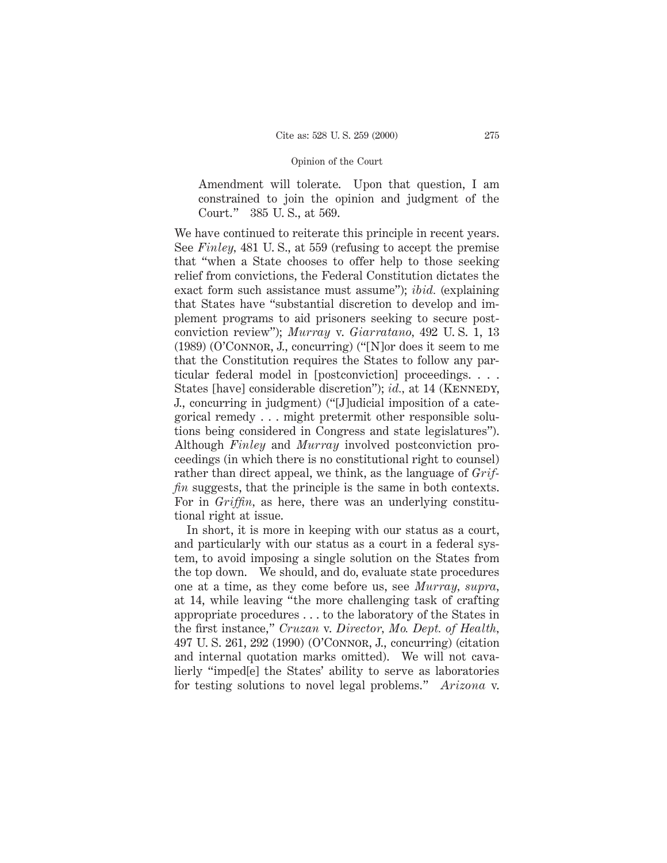Amendment will tolerate. Upon that question, I am constrained to join the opinion and judgment of the Court." 385 U. S., at 569.

We have continued to reiterate this principle in recent years. See *Finley,* 481 U. S., at 559 (refusing to accept the premise that "when a State chooses to offer help to those seeking relief from convictions, the Federal Constitution dictates the exact form such assistance must assume"); *ibid.* (explaining that States have "substantial discretion to develop and implement programs to aid prisoners seeking to secure postconviction review"); *Murray* v. *Giarratano,* 492 U. S. 1, 13  $(1989)$  (O'CONNOR, J., concurring) ("[N]or does it seem to me that the Constitution requires the States to follow any particular federal model in [postconviction] proceedings. . . . States [have] considerable discretion"); *id.*, at 14 (KENNEDY, J., concurring in judgment) ("[J]udicial imposition of a categorical remedy . . . might pretermit other responsible solutions being considered in Congress and state legislatures"). Although *Finley* and *Murray* involved postconviction proceedings (in which there is no constitutional right to counsel) rather than direct appeal, we think, as the language of *Griffin* suggests, that the principle is the same in both contexts. For in *Griffin*, as here, there was an underlying constitutional right at issue.

In short, it is more in keeping with our status as a court, and particularly with our status as a court in a federal system, to avoid imposing a single solution on the States from the top down. We should, and do, evaluate state procedures one at a time, as they come before us, see *Murray, supra,* at 14, while leaving "the more challenging task of crafting appropriate procedures . . . to the laboratory of the States in the first instance," *Cruzan* v. *Director, Mo. Dept. of Health,* 497 U. S. 261, 292 (1990) (O'Connor, J., concurring) (citation and internal quotation marks omitted). We will not cavalierly "imped[e] the States' ability to serve as laboratories for testing solutions to novel legal problems." *Arizona* v.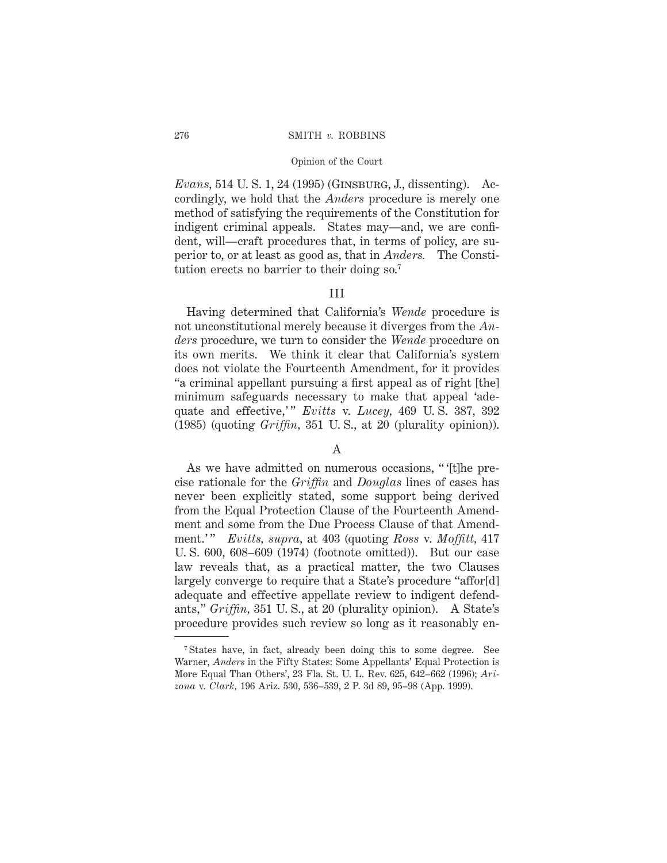*Evans,* 514 U. S. 1, 24 (1995) (Ginsburg, J., dissenting). Accordingly, we hold that the *Anders* procedure is merely one method of satisfying the requirements of the Constitution for indigent criminal appeals. States may—and, we are confident, will—craft procedures that, in terms of policy, are superior to, or at least as good as, that in *Anders.* The Constitution erects no barrier to their doing so.7

# III

Having determined that California's *Wende* procedure is not unconstitutional merely because it diverges from the *Anders* procedure, we turn to consider the *Wende* procedure on its own merits. We think it clear that California's system does not violate the Fourteenth Amendment, for it provides "a criminal appellant pursuing a first appeal as of right [the] minimum safeguards necessary to make that appeal 'adequate and effective,'" *Evitts* v. *Lucey*, 469 U.S. 387, 392 (1985) (quoting *Griffin,* 351 U. S., at 20 (plurality opinion)).

# A

As we have admitted on numerous occasions, " '[t]he precise rationale for the *Griffin* and *Douglas* lines of cases has never been explicitly stated, some support being derived from the Equal Protection Clause of the Fourteenth Amendment and some from the Due Process Clause of that Amendment.'" Evitts, supra, at 403 (quoting Ross v. Moffitt, 417 U. S. 600, 608–609 (1974) (footnote omitted)). But our case law reveals that, as a practical matter, the two Clauses largely converge to require that a State's procedure "affor[d] adequate and effective appellate review to indigent defendants," *Griffin,* 351 U. S., at 20 (plurality opinion). A State's procedure provides such review so long as it reasonably en-

<sup>7</sup> States have, in fact, already been doing this to some degree. See Warner, *Anders* in the Fifty States: Some Appellants' Equal Protection is More Equal Than Others', 23 Fla. St. U. L. Rev. 625, 642–662 (1996); *Arizona* v. *Clark,* 196 Ariz. 530, 536–539, 2 P. 3d 89, 95–98 (App. 1999).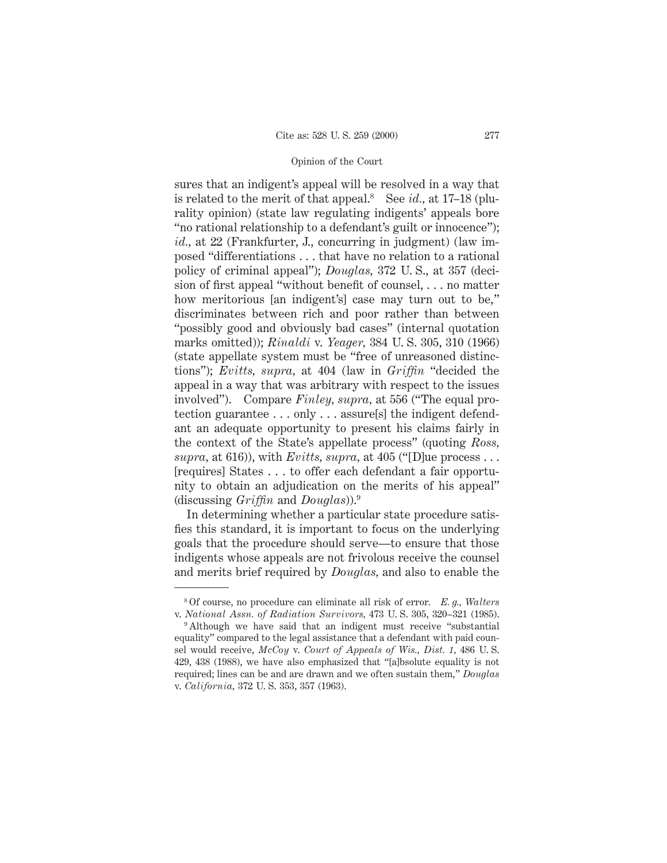sures that an indigent's appeal will be resolved in a way that is related to the merit of that appeal.8 See *id.,* at 17–18 (plurality opinion) (state law regulating indigents' appeals bore "no rational relationship to a defendant's guilt or innocence"); *id.,* at 22 (Frankfurter, J., concurring in judgment) (law imposed "differentiations . . . that have no relation to a rational policy of criminal appeal"); *Douglas,* 372 U. S., at 357 (decision of first appeal "without benefit of counsel, . . . no matter how meritorious [an indigent's] case may turn out to be," discriminates between rich and poor rather than between "possibly good and obviously bad cases" (internal quotation marks omitted)); *Rinaldi* v. *Yeager,* 384 U. S. 305, 310 (1966) (state appellate system must be "free of unreasoned distinctions"); *Evitts, supra,* at 404 (law in *Griffin* "decided the appeal in a way that was arbitrary with respect to the issues involved"). Compare *Finley, supra,* at 556 ("The equal protection guarantee... only . . . assure[s] the indigent defendant an adequate opportunity to present his claims fairly in the context of the State's appellate process" (quoting *Ross, supra,* at 616)), with *Evitts, supra,* at 405 ("[D]ue process... [requires] States . . . to offer each defendant a fair opportunity to obtain an adjudication on the merits of his appeal" (discussing *Griffin* and *Douglas*)).9

In determining whether a particular state procedure satisfies this standard, it is important to focus on the underlying goals that the procedure should serve—to ensure that those indigents whose appeals are not frivolous receive the counsel and merits brief required by *Douglas,* and also to enable the

<sup>8</sup> Of course, no procedure can eliminate all risk of error. *E. g., Walters* v. *National Assn. of Radiation Survivors,* 473 U. S. 305, 320–321 (1985).

<sup>&</sup>lt;sup>9</sup> Although we have said that an indigent must receive "substantial" equality" compared to the legal assistance that a defendant with paid counsel would receive, *McCoy* v. *Court of Appeals of Wis., Dist. 1,* 486 U. S. 429, 438 (1988), we have also emphasized that "[a]bsolute equality is not required; lines can be and are drawn and we often sustain them," *Douglas* v. *California,* 372 U. S. 353, 357 (1963).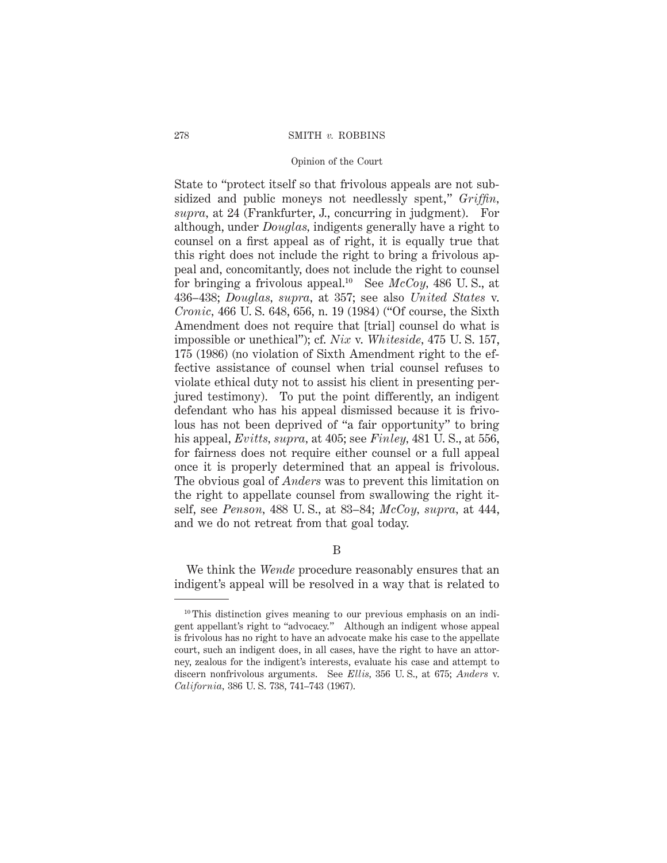State to "protect itself so that frivolous appeals are not subsidized and public moneys not needlessly spent," *Griffin, supra,* at 24 (Frankfurter, J., concurring in judgment). For although, under *Douglas,* indigents generally have a right to counsel on a first appeal as of right, it is equally true that this right does not include the right to bring a frivolous appeal and, concomitantly, does not include the right to counsel for bringing a frivolous appeal.10 See *McCoy,* 486 U. S., at 436–438; *Douglas, supra,* at 357; see also *United States* v. *Cronic,* 466 U. S. 648, 656, n. 19 (1984) ("Of course, the Sixth Amendment does not require that [trial] counsel do what is impossible or unethical"); cf. *Nix* v. *Whiteside,* 475 U. S. 157, 175 (1986) (no violation of Sixth Amendment right to the effective assistance of counsel when trial counsel refuses to violate ethical duty not to assist his client in presenting perjured testimony). To put the point differently, an indigent defendant who has his appeal dismissed because it is frivolous has not been deprived of "a fair opportunity" to bring his appeal, *Evitts, supra,* at 405; see *Finley,* 481 U. S., at 556, for fairness does not require either counsel or a full appeal once it is properly determined that an appeal is frivolous. The obvious goal of *Anders* was to prevent this limitation on the right to appellate counsel from swallowing the right itself, see *Penson,* 488 U. S., at 83–84; *McCoy, supra,* at 444, and we do not retreat from that goal today.

B

We think the *Wende* procedure reasonably ensures that an indigent's appeal will be resolved in a way that is related to

<sup>&</sup>lt;sup>10</sup> This distinction gives meaning to our previous emphasis on an indigent appellant's right to "advocacy." Although an indigent whose appeal is frivolous has no right to have an advocate make his case to the appellate court, such an indigent does, in all cases, have the right to have an attorney, zealous for the indigent's interests, evaluate his case and attempt to discern nonfrivolous arguments. See *Ellis,* 356 U. S., at 675; *Anders* v. *California,* 386 U. S. 738, 741–743 (1967).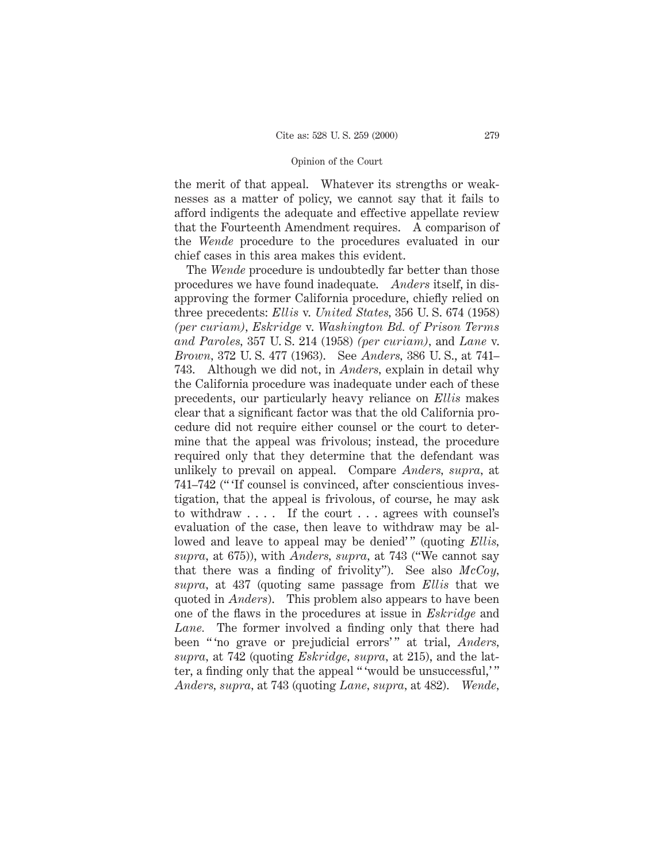the merit of that appeal. Whatever its strengths or weaknesses as a matter of policy, we cannot say that it fails to afford indigents the adequate and effective appellate review that the Fourteenth Amendment requires. A comparison of the *Wende* procedure to the procedures evaluated in our chief cases in this area makes this evident.

The *Wende* procedure is undoubtedly far better than those procedures we have found inadequate. *Anders* itself, in disapproving the former California procedure, chiefly relied on three precedents: *Ellis* v. *United States,* 356 U. S. 674 (1958) *(per curiam), Eskridge* v. *Washington Bd. of Prison Terms and Paroles,* 357 U. S. 214 (1958) *(per curiam),* and *Lane* v. *Brown,* 372 U. S. 477 (1963). See *Anders,* 386 U. S., at 741– 743. Although we did not, in *Anders,* explain in detail why the California procedure was inadequate under each of these precedents, our particularly heavy reliance on *Ellis* makes clear that a significant factor was that the old California procedure did not require either counsel or the court to determine that the appeal was frivolous; instead, the procedure required only that they determine that the defendant was unlikely to prevail on appeal. Compare *Anders, supra,* at 741–742 (" 'If counsel is convinced, after conscientious investigation, that the appeal is frivolous, of course, he may ask to withdraw . . . . If the court... agrees with counsel's evaluation of the case, then leave to withdraw may be allowed and leave to appeal may be denied'" (quoting *Ellis*, *supra,* at 675)), with *Anders, supra,* at 743 ("We cannot say that there was a finding of frivolity"). See also *McCoy, supra,* at 437 (quoting same passage from *Ellis* that we quoted in *Anders*). This problem also appears to have been one of the flaws in the procedures at issue in *Eskridge* and *Lane.* The former involved a finding only that there had been "'no grave or prejudicial errors'" at trial, *Anders*, *supra,* at 742 (quoting *Eskridge, supra,* at 215), and the latter, a finding only that the appeal " 'would be unsuccessful,' " *Anders, supra,* at 743 (quoting *Lane, supra,* at 482). *Wende,*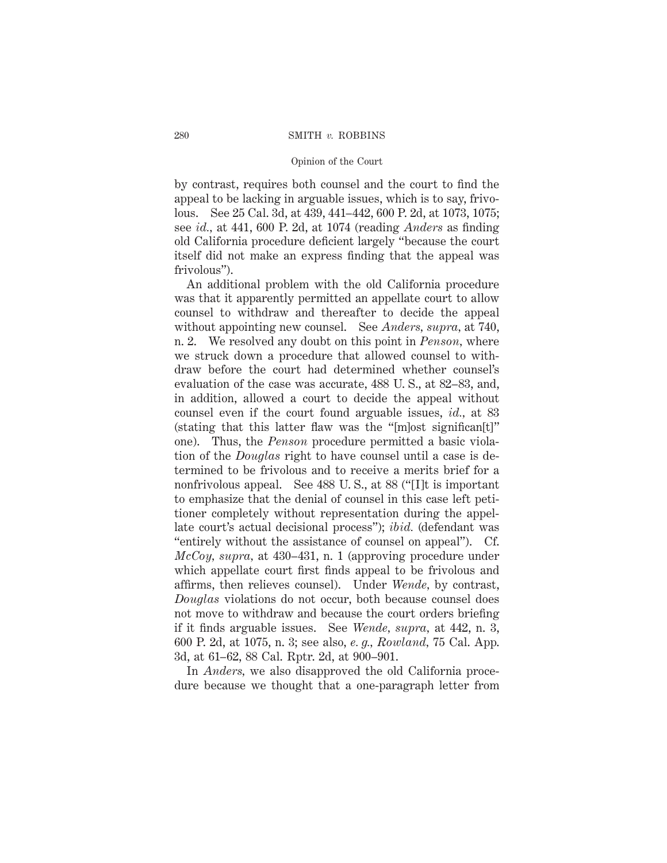by contrast, requires both counsel and the court to find the appeal to be lacking in arguable issues, which is to say, frivolous. See 25 Cal. 3d, at 439, 441–442, 600 P. 2d, at 1073, 1075; see *id.,* at 441, 600 P. 2d, at 1074 (reading *Anders* as finding old California procedure deficient largely "because the court itself did not make an express finding that the appeal was frivolous").

An additional problem with the old California procedure was that it apparently permitted an appellate court to allow counsel to withdraw and thereafter to decide the appeal without appointing new counsel. See *Anders, supra,* at 740, n. 2. We resolved any doubt on this point in *Penson,* where we struck down a procedure that allowed counsel to withdraw before the court had determined whether counsel's evaluation of the case was accurate, 488 U. S., at 82–83, and, in addition, allowed a court to decide the appeal without counsel even if the court found arguable issues, *id.,* at 83 (stating that this latter flaw was the "[m]ost significan[t]" one). Thus, the *Penson* procedure permitted a basic violation of the *Douglas* right to have counsel until a case is determined to be frivolous and to receive a merits brief for a nonfrivolous appeal. See 488 U. S., at 88 ("[I]t is important to emphasize that the denial of counsel in this case left petitioner completely without representation during the appellate court's actual decisional process"); *ibid.* (defendant was "entirely without the assistance of counsel on appeal"). Cf. *McCoy, supra,* at 430–431, n. 1 (approving procedure under which appellate court first finds appeal to be frivolous and affirms, then relieves counsel). Under *Wende,* by contrast, *Douglas* violations do not occur, both because counsel does not move to withdraw and because the court orders briefing if it finds arguable issues. See *Wende, supra,* at 442, n. 3, 600 P. 2d, at 1075, n. 3; see also, *e. g., Rowland,* 75 Cal. App. 3d, at 61–62, 88 Cal. Rptr. 2d, at 900–901.

In *Anders,* we also disapproved the old California procedure because we thought that a one-paragraph letter from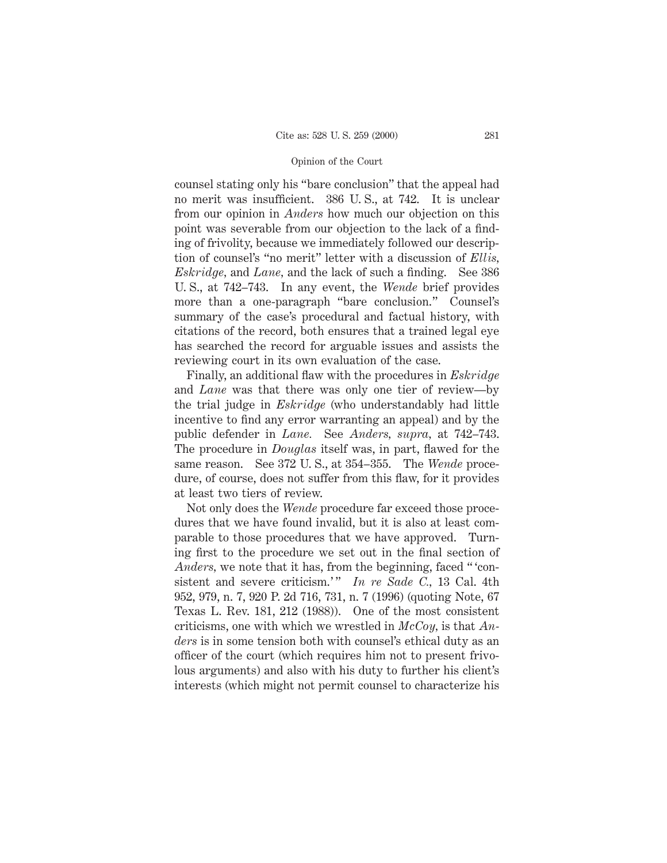counsel stating only his "bare conclusion" that the appeal had no merit was insufficient. 386 U. S., at 742. It is unclear from our opinion in *Anders* how much our objection on this point was severable from our objection to the lack of a finding of frivolity, because we immediately followed our description of counsel's "no merit" letter with a discussion of *Ellis, Eskridge,* and *Lane,* and the lack of such a finding. See 386 U. S., at 742–743. In any event, the *Wende* brief provides more than a one-paragraph "bare conclusion." Counsel's summary of the case's procedural and factual history, with citations of the record, both ensures that a trained legal eye has searched the record for arguable issues and assists the reviewing court in its own evaluation of the case.

Finally, an additional flaw with the procedures in *Eskridge* and *Lane* was that there was only one tier of review—by the trial judge in *Eskridge* (who understandably had little incentive to find any error warranting an appeal) and by the public defender in *Lane.* See *Anders, supra,* at 742–743. The procedure in *Douglas* itself was, in part, flawed for the same reason. See 372 U. S., at 354–355. The *Wende* procedure, of course, does not suffer from this flaw, for it provides at least two tiers of review.

Not only does the *Wende* procedure far exceed those procedures that we have found invalid, but it is also at least comparable to those procedures that we have approved. Turning first to the procedure we set out in the final section of *Anders,* we note that it has, from the beginning, faced " 'consistent and severe criticism.'" *In re Sade C.*, 13 Cal. 4th 952, 979, n. 7, 920 P. 2d 716, 731, n. 7 (1996) (quoting Note, 67 Texas L. Rev. 181, 212 (1988)). One of the most consistent criticisms, one with which we wrestled in *McCoy,* is that *Anders* is in some tension both with counsel's ethical duty as an officer of the court (which requires him not to present frivolous arguments) and also with his duty to further his client's interests (which might not permit counsel to characterize his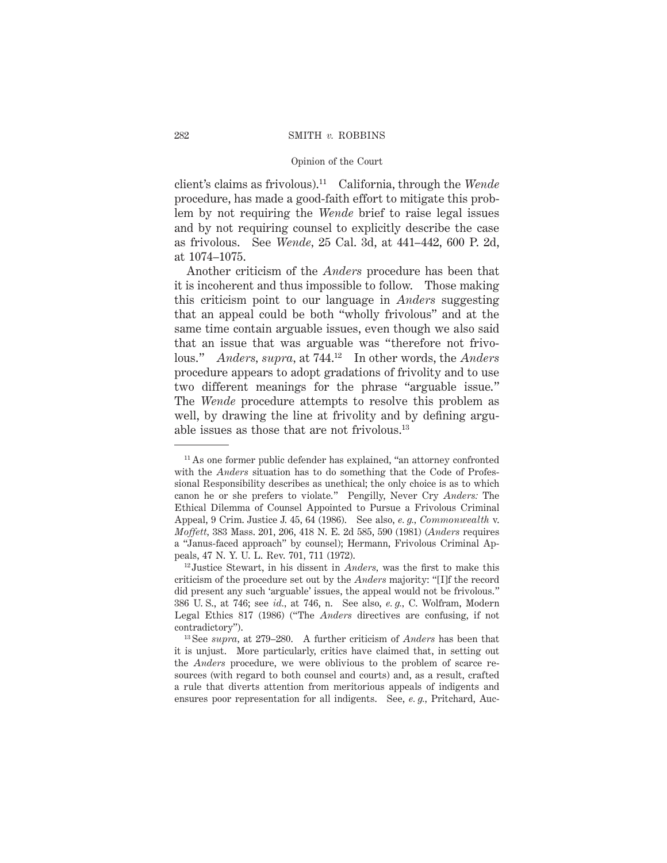client's claims as frivolous).11 California, through the *Wende* procedure, has made a good-faith effort to mitigate this problem by not requiring the *Wende* brief to raise legal issues and by not requiring counsel to explicitly describe the case as frivolous. See *Wende,* 25 Cal. 3d, at 441–442, 600 P. 2d, at 1074–1075.

Another criticism of the *Anders* procedure has been that it is incoherent and thus impossible to follow. Those making this criticism point to our language in *Anders* suggesting that an appeal could be both "wholly frivolous" and at the same time contain arguable issues, even though we also said that an issue that was arguable was "therefore not frivolous." *Anders, supra,* at 744.12 In other words, the *Anders* procedure appears to adopt gradations of frivolity and to use two different meanings for the phrase "arguable issue." The *Wende* procedure attempts to resolve this problem as well, by drawing the line at frivolity and by defining arguable issues as those that are not frivolous.13

<sup>11</sup> As one former public defender has explained, "an attorney confronted with the *Anders* situation has to do something that the Code of Professional Responsibility describes as unethical; the only choice is as to which canon he or she prefers to violate." Pengilly, Never Cry *Anders:* The Ethical Dilemma of Counsel Appointed to Pursue a Frivolous Criminal Appeal, 9 Crim. Justice J. 45, 64 (1986). See also, *e. g., Commonwealth* v. *Moffett,* 383 Mass. 201, 206, 418 N. E. 2d 585, 590 (1981) (*Anders* requires a "Janus-faced approach" by counsel); Hermann, Frivolous Criminal Appeals, 47 N. Y. U. L. Rev. 701, 711 (1972).

<sup>12</sup> Justice Stewart, in his dissent in *Anders,* was the first to make this criticism of the procedure set out by the *Anders* majority: "[I]f the record did present any such 'arguable' issues, the appeal would not be frivolous." 386 U. S., at 746; see *id.,* at 746, n. See also, *e. g.,* C. Wolfram, Modern Legal Ethics 817 (1986) ("The *Anders* directives are confusing, if not contradictory").

<sup>13</sup> See *supra,* at 279–280. A further criticism of *Anders* has been that it is unjust. More particularly, critics have claimed that, in setting out the *Anders* procedure, we were oblivious to the problem of scarce resources (with regard to both counsel and courts) and, as a result, crafted a rule that diverts attention from meritorious appeals of indigents and ensures poor representation for all indigents. See, *e. g.,* Pritchard, Auc-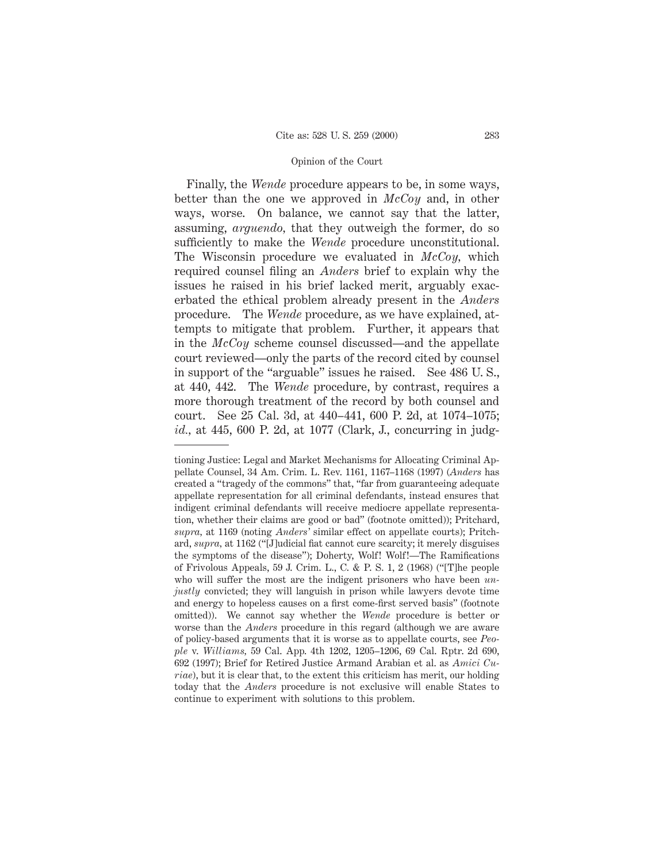Finally, the *Wende* procedure appears to be, in some ways, better than the one we approved in *McCoy* and, in other ways, worse. On balance, we cannot say that the latter, assuming, *arguendo,* that they outweigh the former, do so sufficiently to make the *Wende* procedure unconstitutional. The Wisconsin procedure we evaluated in *McCoy,* which required counsel filing an *Anders* brief to explain why the issues he raised in his brief lacked merit, arguably exacerbated the ethical problem already present in the *Anders* procedure. The *Wende* procedure, as we have explained, attempts to mitigate that problem. Further, it appears that in the *McCoy* scheme counsel discussed—and the appellate court reviewed—only the parts of the record cited by counsel in support of the "arguable" issues he raised. See 486 U. S., at 440, 442. The *Wende* procedure, by contrast, requires a more thorough treatment of the record by both counsel and court. See 25 Cal. 3d, at 440–441, 600 P. 2d, at 1074–1075; *id.,* at 445, 600 P. 2d, at 1077 (Clark, J., concurring in judg-

tioning Justice: Legal and Market Mechanisms for Allocating Criminal Appellate Counsel, 34 Am. Crim. L. Rev. 1161, 1167–1168 (1997) (*Anders* has created a "tragedy of the commons" that, "far from guaranteeing adequate appellate representation for all criminal defendants, instead ensures that indigent criminal defendants will receive mediocre appellate representation, whether their claims are good or bad" (footnote omitted)); Pritchard, *supra,* at 1169 (noting *Anders'* similar effect on appellate courts); Pritchard, *supra,* at 1162 ("[J]udicial fiat cannot cure scarcity; it merely disguises the symptoms of the disease"); Doherty, Wolf! Wolf!—The Ramifications of Frivolous Appeals, 59 J. Crim. L., C. & P. S. 1, 2 (1968) ("[T]he people who will suffer the most are the indigent prisoners who have been *unjustly* convicted; they will languish in prison while lawyers devote time and energy to hopeless causes on a first come-first served basis" (footnote omitted)). We cannot say whether the *Wende* procedure is better or worse than the *Anders* procedure in this regard (although we are aware of policy-based arguments that it is worse as to appellate courts, see *People* v. *Williams,* 59 Cal. App. 4th 1202, 1205–1206, 69 Cal. Rptr. 2d 690, 692 (1997); Brief for Retired Justice Armand Arabian et al. as *Amici Curiae*), but it is clear that, to the extent this criticism has merit, our holding today that the *Anders* procedure is not exclusive will enable States to continue to experiment with solutions to this problem.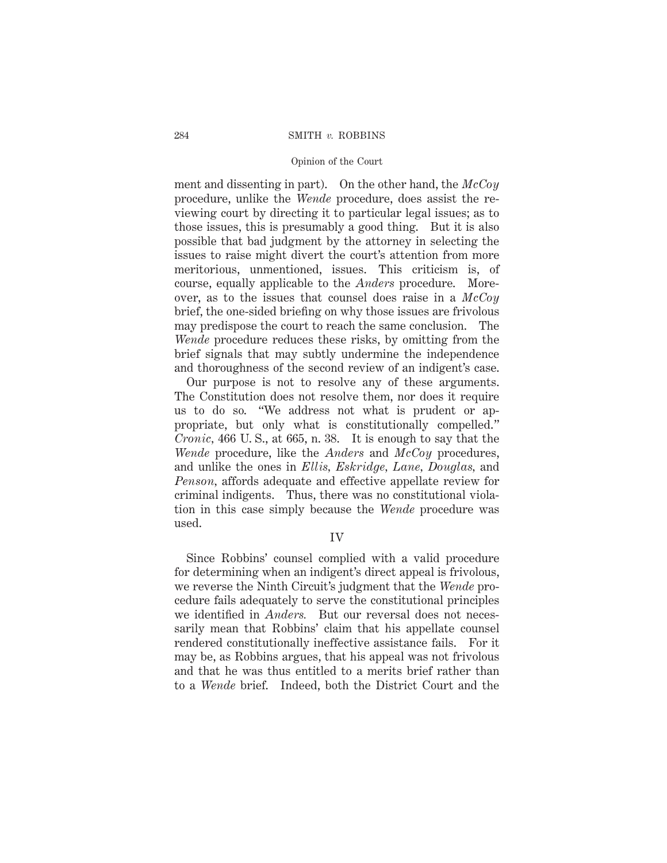ment and dissenting in part). On the other hand, the *McCoy* procedure, unlike the *Wende* procedure, does assist the reviewing court by directing it to particular legal issues; as to those issues, this is presumably a good thing. But it is also possible that bad judgment by the attorney in selecting the issues to raise might divert the court's attention from more meritorious, unmentioned, issues. This criticism is, of course, equally applicable to the *Anders* procedure. Moreover, as to the issues that counsel does raise in a *McCoy* brief, the one-sided briefing on why those issues are frivolous may predispose the court to reach the same conclusion. The *Wende* procedure reduces these risks, by omitting from the brief signals that may subtly undermine the independence and thoroughness of the second review of an indigent's case.

Our purpose is not to resolve any of these arguments. The Constitution does not resolve them, nor does it require us to do so. "We address not what is prudent or appropriate, but only what is constitutionally compelled." *Cronic,* 466 U. S., at 665, n. 38. It is enough to say that the *Wende* procedure, like the *Anders* and *McCoy* procedures, and unlike the ones in *Ellis, Eskridge, Lane, Douglas,* and *Penson,* affords adequate and effective appellate review for criminal indigents. Thus, there was no constitutional violation in this case simply because the *Wende* procedure was used.

### IV

Since Robbins' counsel complied with a valid procedure for determining when an indigent's direct appeal is frivolous, we reverse the Ninth Circuit's judgment that the *Wende* procedure fails adequately to serve the constitutional principles we identified in *Anders.* But our reversal does not necessarily mean that Robbins' claim that his appellate counsel rendered constitutionally ineffective assistance fails. For it may be, as Robbins argues, that his appeal was not frivolous and that he was thus entitled to a merits brief rather than to a *Wende* brief. Indeed, both the District Court and the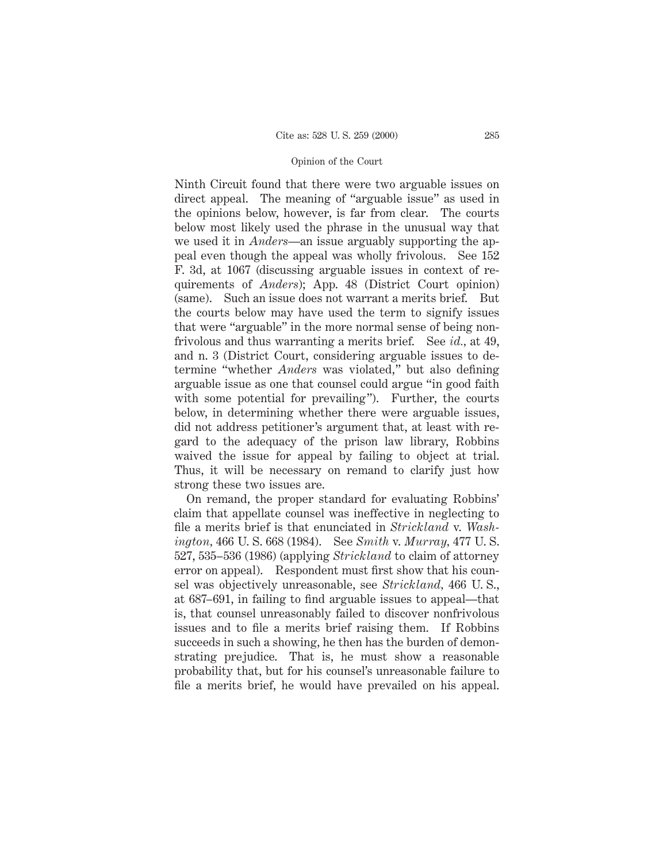Ninth Circuit found that there were two arguable issues on direct appeal. The meaning of "arguable issue" as used in the opinions below, however, is far from clear. The courts below most likely used the phrase in the unusual way that we used it in *Anders*—an issue arguably supporting the appeal even though the appeal was wholly frivolous. See 152 F. 3d, at 1067 (discussing arguable issues in context of requirements of *Anders*); App. 48 (District Court opinion) (same). Such an issue does not warrant a merits brief. But the courts below may have used the term to signify issues that were "arguable" in the more normal sense of being nonfrivolous and thus warranting a merits brief. See *id.,* at 49, and n. 3 (District Court, considering arguable issues to determine "whether *Anders* was violated," but also defining arguable issue as one that counsel could argue "in good faith with some potential for prevailing"). Further, the courts below, in determining whether there were arguable issues, did not address petitioner's argument that, at least with regard to the adequacy of the prison law library, Robbins waived the issue for appeal by failing to object at trial. Thus, it will be necessary on remand to clarify just how strong these two issues are.

On remand, the proper standard for evaluating Robbins' claim that appellate counsel was ineffective in neglecting to file a merits brief is that enunciated in *Strickland* v. *Washington,* 466 U. S. 668 (1984). See *Smith* v. *Murray,* 477 U. S. 527, 535–536 (1986) (applying *Strickland* to claim of attorney error on appeal). Respondent must first show that his counsel was objectively unreasonable, see *Strickland,* 466 U. S., at 687–691, in failing to find arguable issues to appeal—that is, that counsel unreasonably failed to discover nonfrivolous issues and to file a merits brief raising them. If Robbins succeeds in such a showing, he then has the burden of demonstrating prejudice. That is, he must show a reasonable probability that, but for his counsel's unreasonable failure to file a merits brief, he would have prevailed on his appeal.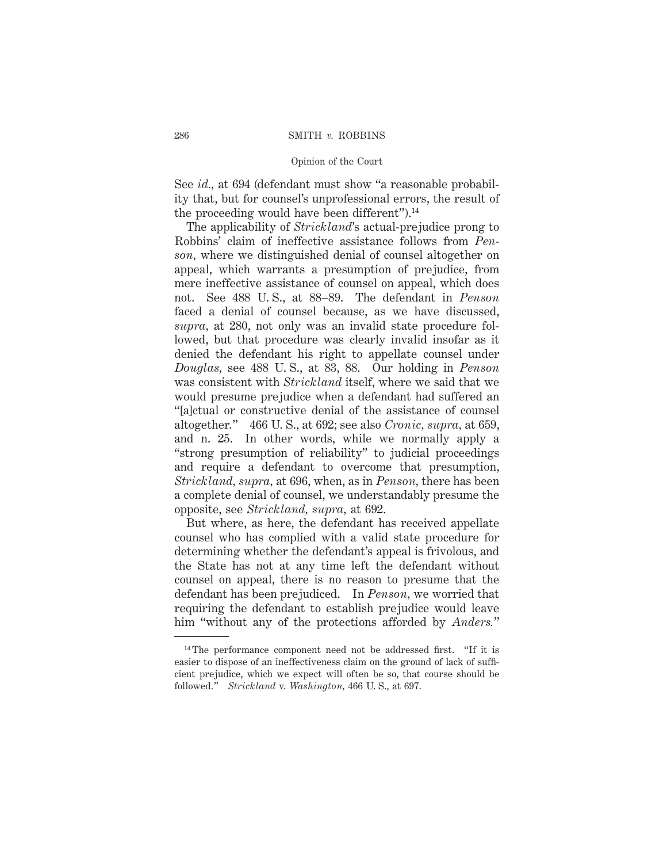See *id.,* at 694 (defendant must show "a reasonable probability that, but for counsel's unprofessional errors, the result of the proceeding would have been different").<sup>14</sup>

The applicability of *Strickland*'s actual-prejudice prong to Robbins' claim of ineffective assistance follows from *Penson,* where we distinguished denial of counsel altogether on appeal, which warrants a presumption of prejudice, from mere ineffective assistance of counsel on appeal, which does not. See 488 U. S., at 88–89. The defendant in *Penson* faced a denial of counsel because, as we have discussed, *supra,* at 280, not only was an invalid state procedure followed, but that procedure was clearly invalid insofar as it denied the defendant his right to appellate counsel under *Douglas,* see 488 U. S., at 83, 88. Our holding in *Penson* was consistent with *Strickland* itself, where we said that we would presume prejudice when a defendant had suffered an "[a]ctual or constructive denial of the assistance of counsel altogether." 466 U. S., at 692; see also *Cronic, supra,* at 659, and n. 25. In other words, while we normally apply a "strong presumption of reliability" to judicial proceedings and require a defendant to overcome that presumption, *Strickland, supra,* at 696, when, as in *Penson,* there has been a complete denial of counsel, we understandably presume the opposite, see *Strickland, supra,* at 692.

But where, as here, the defendant has received appellate counsel who has complied with a valid state procedure for determining whether the defendant's appeal is frivolous, and the State has not at any time left the defendant without counsel on appeal, there is no reason to presume that the defendant has been prejudiced. In *Penson,* we worried that requiring the defendant to establish prejudice would leave him "without any of the protections afforded by *Anders.*"

 $14$  The performance component need not be addressed first. "If it is easier to dispose of an ineffectiveness claim on the ground of lack of sufficient prejudice, which we expect will often be so, that course should be followed." *Strickland* v. *Washington,* 466 U. S., at 697.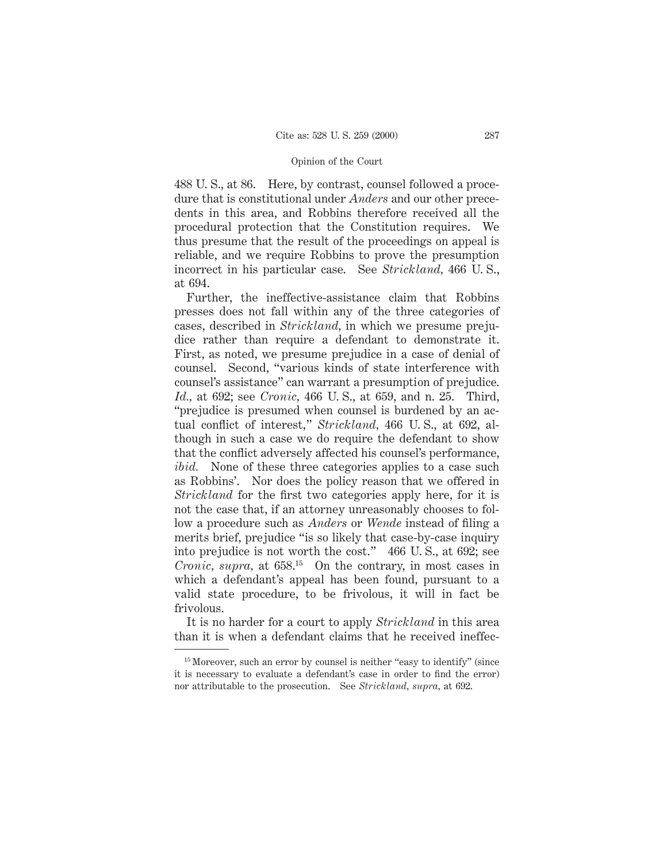488 U. S., at 86. Here, by contrast, counsel followed a procedure that is constitutional under *Anders* and our other precedents in this area, and Robbins therefore received all the procedural protection that the Constitution requires. We thus presume that the result of the proceedings on appeal is reliable, and we require Robbins to prove the presumption incorrect in his particular case. See *Strickland,* 466 U. S., at 694.

Further, the ineffective-assistance claim that Robbins presses does not fall within any of the three categories of cases, described in *Strickland,* in which we presume prejudice rather than require a defendant to demonstrate it. First, as noted, we presume prejudice in a case of denial of counsel. Second, "various kinds of state interference with counsel's assistance" can warrant a presumption of prejudice. *Id.,* at 692; see *Cronic,* 466 U. S., at 659, and n. 25. Third, "prejudice is presumed when counsel is burdened by an actual conflict of interest," *Strickland,* 466 U. S., at 692, although in such a case we do require the defendant to show that the conflict adversely affected his counsel's performance, *ibid.* None of these three categories applies to a case such as Robbins'. Nor does the policy reason that we offered in *Strickland* for the first two categories apply here, for it is not the case that, if an attorney unreasonably chooses to follow a procedure such as *Anders* or *Wende* instead of filing a merits brief, prejudice "is so likely that case-by-case inquiry into prejudice is not worth the cost." 466 U. S., at 692; see *Cronic, supra,* at 658.<sup>15</sup> On the contrary, in most cases in which a defendant's appeal has been found, pursuant to a valid state procedure, to be frivolous, it will in fact be frivolous.

It is no harder for a court to apply *Strickland* in this area than it is when a defendant claims that he received ineffec-

 $15$  Moreover, such an error by counsel is neither "easy to identify" (since it is necessary to evaluate a defendant's case in order to find the error) nor attributable to the prosecution. See *Strickland, supra,* at 692.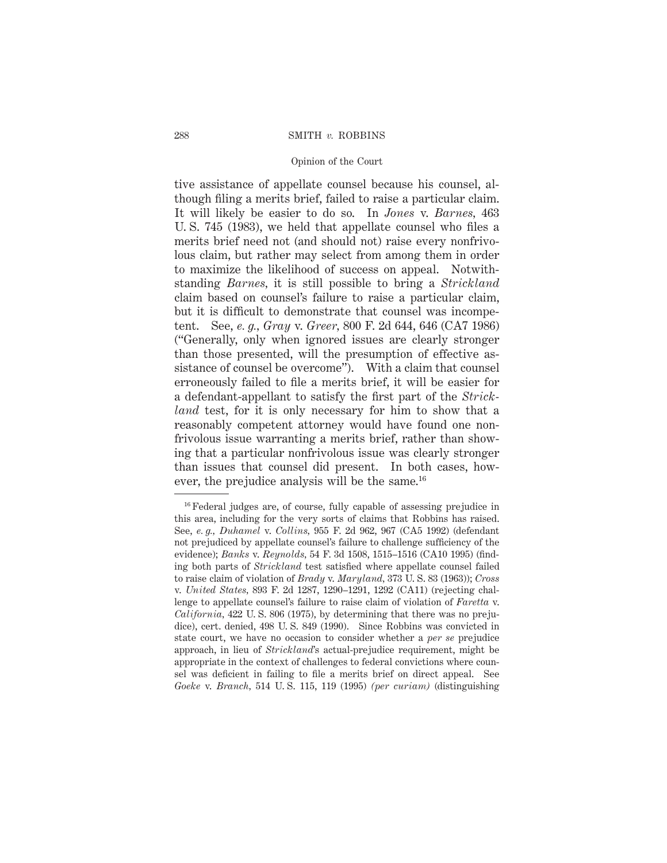tive assistance of appellate counsel because his counsel, although filing a merits brief, failed to raise a particular claim. It will likely be easier to do so. In *Jones* v. *Barnes,* 463 U. S. 745 (1983), we held that appellate counsel who files a merits brief need not (and should not) raise every nonfrivolous claim, but rather may select from among them in order to maximize the likelihood of success on appeal. Notwithstanding *Barnes,* it is still possible to bring a *Strickland* claim based on counsel's failure to raise a particular claim, but it is difficult to demonstrate that counsel was incompetent. See, *e. g., Gray* v. *Greer,* 800 F. 2d 644, 646 (CA7 1986) ("Generally, only when ignored issues are clearly stronger than those presented, will the presumption of effective assistance of counsel be overcome"). With a claim that counsel erroneously failed to file a merits brief, it will be easier for a defendant-appellant to satisfy the first part of the *Strickland* test, for it is only necessary for him to show that a reasonably competent attorney would have found one nonfrivolous issue warranting a merits brief, rather than showing that a particular nonfrivolous issue was clearly stronger than issues that counsel did present. In both cases, however, the prejudice analysis will be the same.<sup>16</sup>

<sup>&</sup>lt;sup>16</sup> Federal judges are, of course, fully capable of assessing prejudice in this area, including for the very sorts of claims that Robbins has raised. See, *e. g., Duhamel* v. *Collins,* 955 F. 2d 962, 967 (CA5 1992) (defendant not prejudiced by appellate counsel's failure to challenge sufficiency of the evidence); *Banks* v. *Reynolds,* 54 F. 3d 1508, 1515–1516 (CA10 1995) (finding both parts of *Strickland* test satisfied where appellate counsel failed to raise claim of violation of *Brady* v. *Maryland,* 373 U. S. 83 (1963)); *Cross* v. *United States,* 893 F. 2d 1287, 1290–1291, 1292 (CA11) (rejecting challenge to appellate counsel's failure to raise claim of violation of *Faretta* v. *California,* 422 U. S. 806 (1975), by determining that there was no prejudice), cert. denied, 498 U. S. 849 (1990). Since Robbins was convicted in state court, we have no occasion to consider whether a *per se* prejudice approach, in lieu of *Strickland*'s actual-prejudice requirement, might be appropriate in the context of challenges to federal convictions where counsel was deficient in failing to file a merits brief on direct appeal. See *Goeke* v. *Branch,* 514 U. S. 115, 119 (1995) *(per curiam)* (distinguishing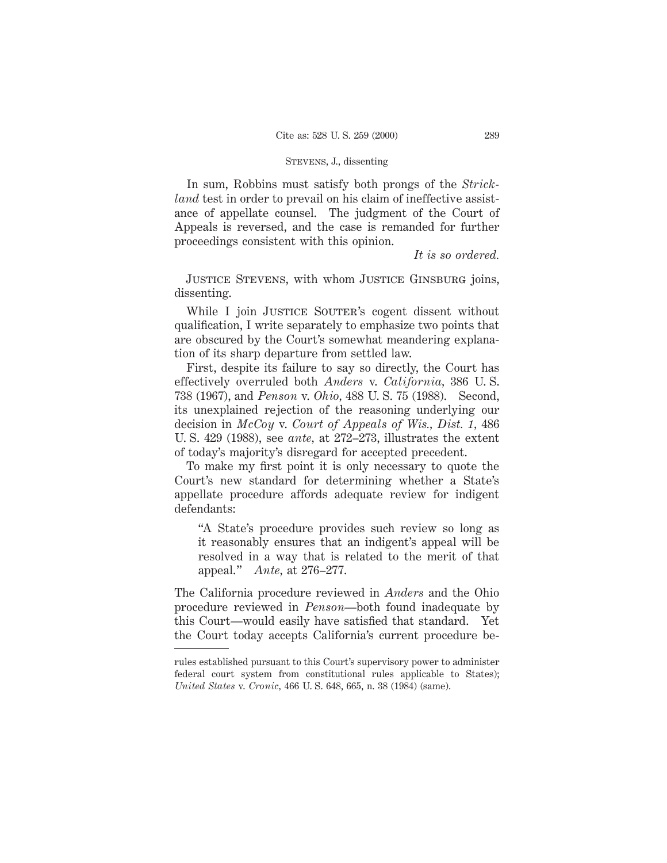### Stevens, J., dissenting

In sum, Robbins must satisfy both prongs of the *Strickland* test in order to prevail on his claim of ineffective assistance of appellate counsel. The judgment of the Court of Appeals is reversed, and the case is remanded for further proceedings consistent with this opinion.

*It is so ordered.*

Justice Stevens, with whom Justice Ginsburg joins, dissenting.

While I join JUSTICE SOUTER's cogent dissent without qualification, I write separately to emphasize two points that are obscured by the Court's somewhat meandering explanation of its sharp departure from settled law.

First, despite its failure to say so directly, the Court has effectively overruled both *Anders* v. *California,* 386 U. S. 738 (1967), and *Penson* v. *Ohio,* 488 U. S. 75 (1988). Second, its unexplained rejection of the reasoning underlying our decision in *McCoy* v. *Court of Appeals of Wis., Dist. 1,* 486 U. S. 429 (1988), see *ante,* at 272–273, illustrates the extent of today's majority's disregard for accepted precedent.

To make my first point it is only necessary to quote the Court's new standard for determining whether a State's appellate procedure affords adequate review for indigent defendants:

"A State's procedure provides such review so long as it reasonably ensures that an indigent's appeal will be resolved in a way that is related to the merit of that appeal." *Ante,* at 276–277.

The California procedure reviewed in *Anders* and the Ohio procedure reviewed in *Penson*—both found inadequate by this Court—would easily have satisfied that standard. Yet the Court today accepts California's current procedure be-

rules established pursuant to this Court's supervisory power to administer federal court system from constitutional rules applicable to States); *United States* v. *Cronic,* 466 U. S. 648, 665, n. 38 (1984) (same).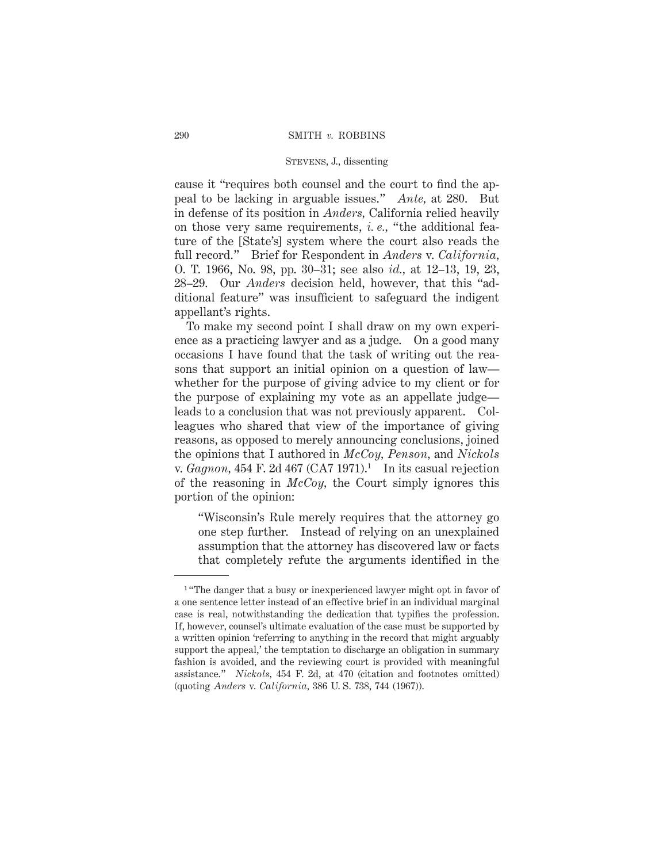# Stevens, J., dissenting

cause it "requires both counsel and the court to find the appeal to be lacking in arguable issues." *Ante,* at 280. But in defense of its position in *Anders,* California relied heavily on those very same requirements, *i. e.,* "the additional feature of the [State's] system where the court also reads the full record." Brief for Respondent in *Anders* v. *California,* O. T. 1966, No. 98, pp. 30–31; see also *id.,* at 12–13, 19, 23, 28–29. Our *Anders* decision held, however, that this "additional feature" was insufficient to safeguard the indigent appellant's rights.

To make my second point I shall draw on my own experience as a practicing lawyer and as a judge. On a good many occasions I have found that the task of writing out the reasons that support an initial opinion on a question of law whether for the purpose of giving advice to my client or for the purpose of explaining my vote as an appellate judge leads to a conclusion that was not previously apparent. Colleagues who shared that view of the importance of giving reasons, as opposed to merely announcing conclusions, joined the opinions that I authored in *McCoy, Penson,* and *Nickols* v. *Gagnon*, 454 F. 2d 467 (CA7 1971).<sup>1</sup> In its casual rejection of the reasoning in *McCoy,* the Court simply ignores this portion of the opinion:

"Wisconsin's Rule merely requires that the attorney go one step further. Instead of relying on an unexplained assumption that the attorney has discovered law or facts that completely refute the arguments identified in the

<sup>&</sup>lt;sup>1</sup> "The danger that a busy or inexperienced lawyer might opt in favor of a one sentence letter instead of an effective brief in an individual marginal case is real, notwithstanding the dedication that typifies the profession. If, however, counsel's ultimate evaluation of the case must be supported by a written opinion 'referring to anything in the record that might arguably support the appeal,' the temptation to discharge an obligation in summary fashion is avoided, and the reviewing court is provided with meaningful assistance." *Nickols,* 454 F. 2d, at 470 (citation and footnotes omitted) (quoting *Anders* v. *California,* 386 U. S. 738, 744 (1967)).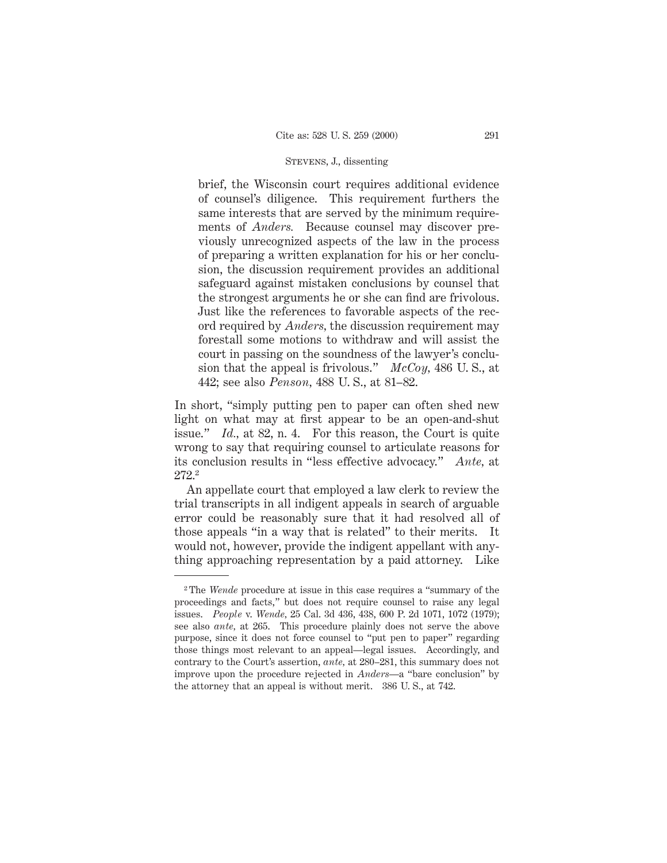### Stevens, J., dissenting

brief, the Wisconsin court requires additional evidence of counsel's diligence. This requirement furthers the same interests that are served by the minimum requirements of *Anders.* Because counsel may discover previously unrecognized aspects of the law in the process of preparing a written explanation for his or her conclusion, the discussion requirement provides an additional safeguard against mistaken conclusions by counsel that the strongest arguments he or she can find are frivolous. Just like the references to favorable aspects of the record required by *Anders,* the discussion requirement may forestall some motions to withdraw and will assist the court in passing on the soundness of the lawyer's conclusion that the appeal is frivolous." *McCoy,* 486 U. S., at 442; see also *Penson,* 488 U. S., at 81–82.

In short, "simply putting pen to paper can often shed new light on what may at first appear to be an open-and-shut issue." *Id.,* at 82, n. 4. For this reason, the Court is quite wrong to say that requiring counsel to articulate reasons for its conclusion results in "less effective advocacy." *Ante,* at 272.2

An appellate court that employed a law clerk to review the trial transcripts in all indigent appeals in search of arguable error could be reasonably sure that it had resolved all of those appeals "in a way that is related" to their merits. It would not, however, provide the indigent appellant with anything approaching representation by a paid attorney. Like

<sup>2</sup> The *Wende* procedure at issue in this case requires a "summary of the proceedings and facts," but does not require counsel to raise any legal issues. *People* v. *Wende,* 25 Cal. 3d 436, 438, 600 P. 2d 1071, 1072 (1979); see also *ante,* at 265. This procedure plainly does not serve the above purpose, since it does not force counsel to "put pen to paper" regarding those things most relevant to an appeal—legal issues. Accordingly, and contrary to the Court's assertion, *ante,* at 280–281, this summary does not improve upon the procedure rejected in *Anders*—a "bare conclusion" by the attorney that an appeal is without merit. 386 U. S., at 742.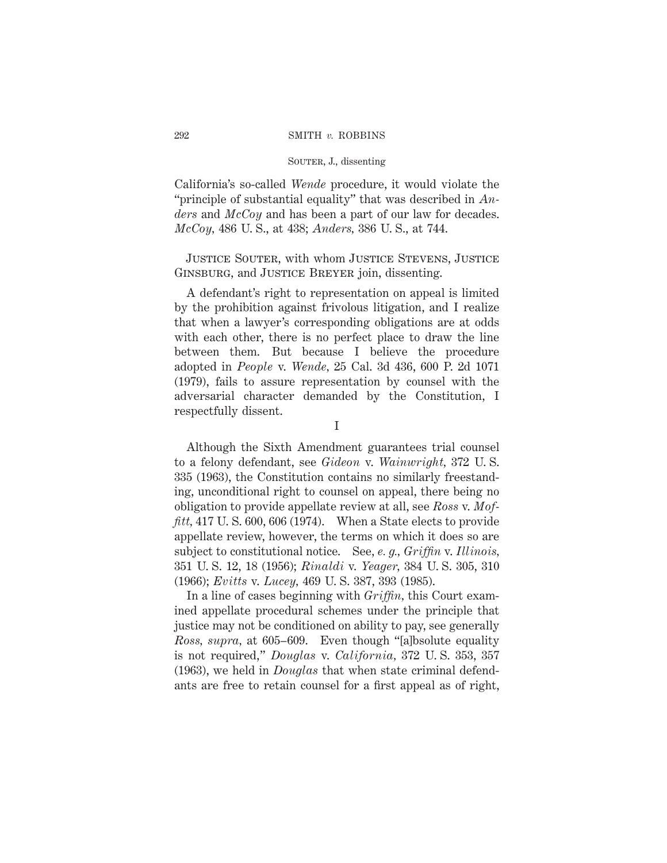California's so-called *Wende* procedure, it would violate the "principle of substantial equality" that was described in *Anders* and *McCoy* and has been a part of our law for decades. *McCoy,* 486 U. S., at 438; *Anders,* 386 U. S., at 744.

Justice Souter, with whom Justice Stevens, Justice Ginsburg, and Justice Breyer join, dissenting.

A defendant's right to representation on appeal is limited by the prohibition against frivolous litigation, and I realize that when a lawyer's corresponding obligations are at odds with each other, there is no perfect place to draw the line between them. But because I believe the procedure adopted in *People* v. *Wende,* 25 Cal. 3d 436, 600 P. 2d 1071 (1979), fails to assure representation by counsel with the adversarial character demanded by the Constitution, I respectfully dissent.

I

Although the Sixth Amendment guarantees trial counsel to a felony defendant, see *Gideon* v. *Wainwright,* 372 U. S. 335 (1963), the Constitution contains no similarly freestanding, unconditional right to counsel on appeal, there being no obligation to provide appellate review at all, see *Ross* v. *Moffitt,* 417 U. S. 600, 606 (1974). When a State elects to provide appellate review, however, the terms on which it does so are subject to constitutional notice. See, *e. g., Griffin* v. *Illinois,* 351 U. S. 12, 18 (1956); *Rinaldi* v. *Yeager,* 384 U. S. 305, 310 (1966); *Evitts* v. *Lucey,* 469 U. S. 387, 393 (1985).

In a line of cases beginning with *Griffin,* this Court examined appellate procedural schemes under the principle that justice may not be conditioned on ability to pay, see generally *Ross, supra,* at 605–609. Even though "[a]bsolute equality is not required," *Douglas* v. *California,* 372 U. S. 353, 357 (1963), we held in *Douglas* that when state criminal defendants are free to retain counsel for a first appeal as of right,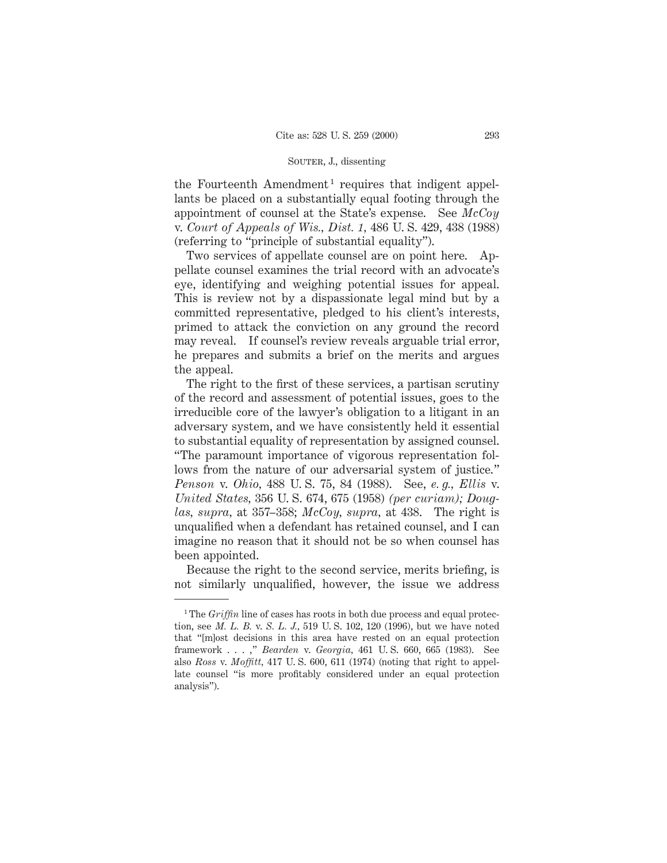the Fourteenth Amendment<sup>1</sup> requires that indigent appellants be placed on a substantially equal footing through the appointment of counsel at the State's expense. See *McCoy* v. *Court of Appeals of Wis., Dist. 1,* 486 U. S. 429, 438 (1988) (referring to "principle of substantial equality").

Two services of appellate counsel are on point here. Appellate counsel examines the trial record with an advocate's eye, identifying and weighing potential issues for appeal. This is review not by a dispassionate legal mind but by a committed representative, pledged to his client's interests, primed to attack the conviction on any ground the record may reveal. If counsel's review reveals arguable trial error, he prepares and submits a brief on the merits and argues the appeal.

The right to the first of these services, a partisan scrutiny of the record and assessment of potential issues, goes to the irreducible core of the lawyer's obligation to a litigant in an adversary system, and we have consistently held it essential to substantial equality of representation by assigned counsel. "The paramount importance of vigorous representation follows from the nature of our adversarial system of justice." *Penson* v. *Ohio,* 488 U. S. 75, 84 (1988). See, *e. g., Ellis* v. *United States,* 356 U. S. 674, 675 (1958) *(per curiam); Douglas, supra,* at 357–358; *McCoy, supra,* at 438. The right is unqualified when a defendant has retained counsel, and I can imagine no reason that it should not be so when counsel has been appointed.

Because the right to the second service, merits briefing, is not similarly unqualified, however, the issue we address

<sup>&</sup>lt;sup>1</sup>The *Griffin* line of cases has roots in both due process and equal protection, see *M. L. B.* v. *S. L. J.,* 519 U. S. 102, 120 (1996), but we have noted that "[m]ost decisions in this area have rested on an equal protection framework . . . ," *Bearden* v. *Georgia,* 461 U. S. 660, 665 (1983). See also *Ross* v. *Moffitt,* 417 U. S. 600, 611 (1974) (noting that right to appellate counsel "is more profitably considered under an equal protection analysis").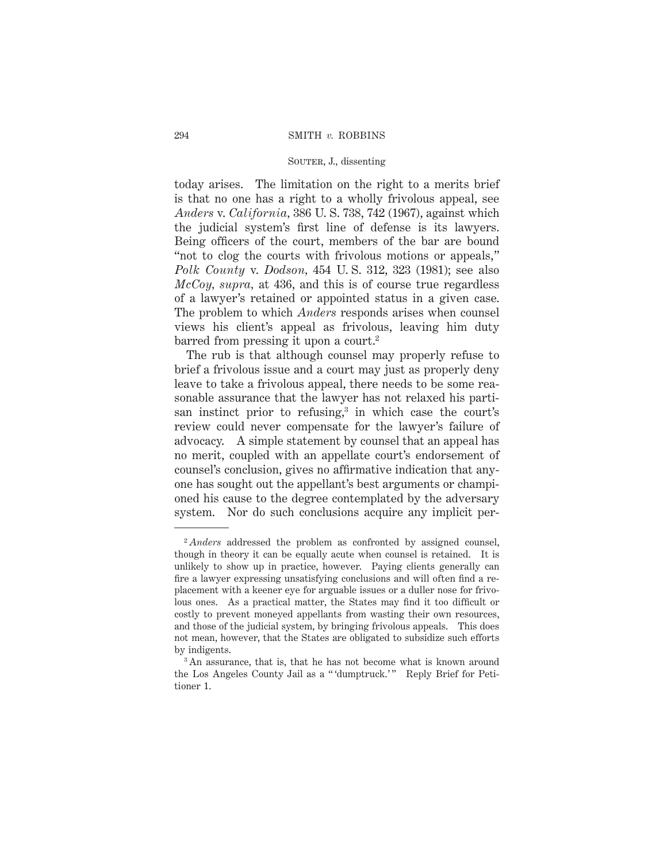today arises. The limitation on the right to a merits brief is that no one has a right to a wholly frivolous appeal, see *Anders* v. *California,* 386 U. S. 738, 742 (1967), against which the judicial system's first line of defense is its lawyers. Being officers of the court, members of the bar are bound "not to clog the courts with frivolous motions or appeals," *Polk County* v. *Dodson,* 454 U. S. 312, 323 (1981); see also *McCoy, supra,* at 436, and this is of course true regardless of a lawyer's retained or appointed status in a given case. The problem to which *Anders* responds arises when counsel views his client's appeal as frivolous, leaving him duty barred from pressing it upon a court.<sup>2</sup>

The rub is that although counsel may properly refuse to brief a frivolous issue and a court may just as properly deny leave to take a frivolous appeal, there needs to be some reasonable assurance that the lawyer has not relaxed his partisan instinct prior to refusing,<sup>3</sup> in which case the court's review could never compensate for the lawyer's failure of advocacy. A simple statement by counsel that an appeal has no merit, coupled with an appellate court's endorsement of counsel's conclusion, gives no affirmative indication that anyone has sought out the appellant's best arguments or championed his cause to the degree contemplated by the adversary system. Nor do such conclusions acquire any implicit per-

<sup>2</sup> *Anders* addressed the problem as confronted by assigned counsel, though in theory it can be equally acute when counsel is retained. It is unlikely to show up in practice, however. Paying clients generally can fire a lawyer expressing unsatisfying conclusions and will often find a replacement with a keener eye for arguable issues or a duller nose for frivolous ones. As a practical matter, the States may find it too difficult or costly to prevent moneyed appellants from wasting their own resources, and those of the judicial system, by bringing frivolous appeals. This does not mean, however, that the States are obligated to subsidize such efforts by indigents.

<sup>&</sup>lt;sup>3</sup> An assurance, that is, that he has not become what is known around the Los Angeles County Jail as a "'dumptruck.'" Reply Brief for Petitioner 1.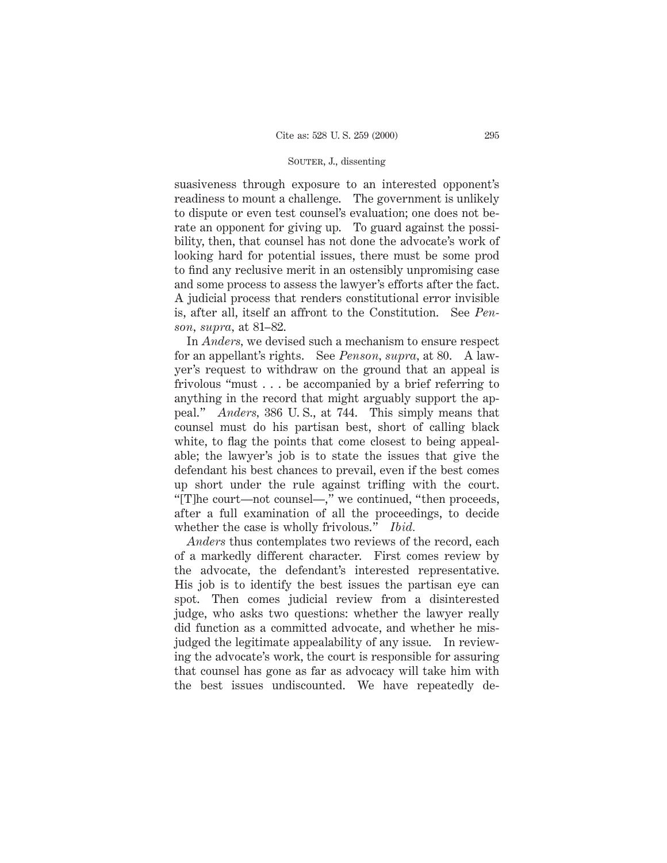suasiveness through exposure to an interested opponent's readiness to mount a challenge. The government is unlikely to dispute or even test counsel's evaluation; one does not berate an opponent for giving up. To guard against the possibility, then, that counsel has not done the advocate's work of looking hard for potential issues, there must be some prod to find any reclusive merit in an ostensibly unpromising case and some process to assess the lawyer's efforts after the fact. A judicial process that renders constitutional error invisible is, after all, itself an affront to the Constitution. See *Penson, supra,* at 81–82.

In *Anders,* we devised such a mechanism to ensure respect for an appellant's rights. See *Penson, supra,* at 80. A lawyer's request to withdraw on the ground that an appeal is frivolous "must . . . be accompanied by a brief referring to anything in the record that might arguably support the appeal." *Anders,* 386 U. S., at 744. This simply means that counsel must do his partisan best, short of calling black white, to flag the points that come closest to being appealable; the lawyer's job is to state the issues that give the defendant his best chances to prevail, even if the best comes up short under the rule against trifling with the court. "[T]he court—not counsel—," we continued, "then proceeds, after a full examination of all the proceedings, to decide whether the case is wholly frivolous." *Ibid.*

*Anders* thus contemplates two reviews of the record, each of a markedly different character. First comes review by the advocate, the defendant's interested representative. His job is to identify the best issues the partisan eye can spot. Then comes judicial review from a disinterested judge, who asks two questions: whether the lawyer really did function as a committed advocate, and whether he misjudged the legitimate appealability of any issue. In reviewing the advocate's work, the court is responsible for assuring that counsel has gone as far as advocacy will take him with the best issues undiscounted. We have repeatedly de-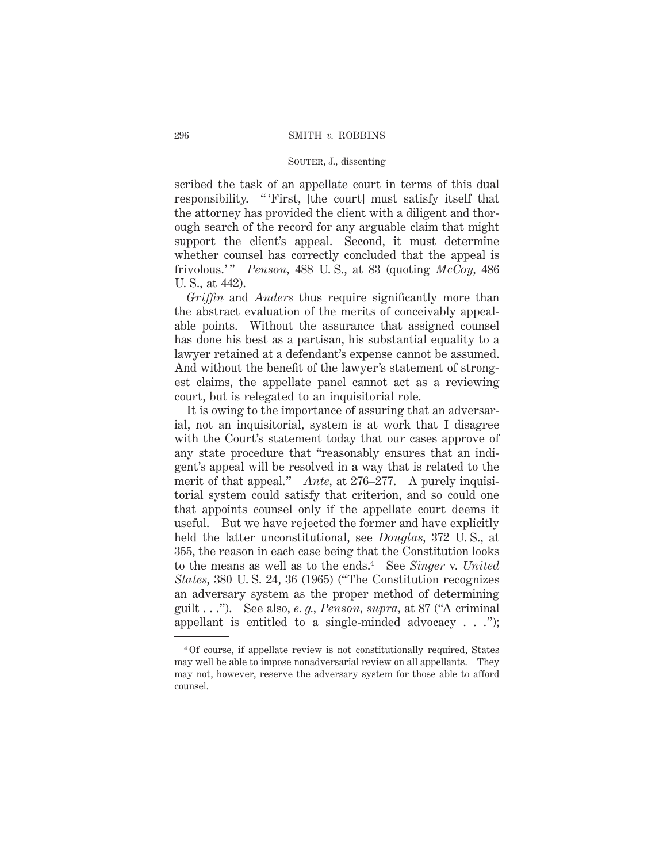scribed the task of an appellate court in terms of this dual responsibility. " 'First, [the court] must satisfy itself that the attorney has provided the client with a diligent and thorough search of the record for any arguable claim that might support the client's appeal. Second, it must determine whether counsel has correctly concluded that the appeal is frivolous.' " *Penson,* 488 U. S., at 83 (quoting *McCoy,* 486 U. S., at 442).

*Griffin* and *Anders* thus require significantly more than the abstract evaluation of the merits of conceivably appealable points. Without the assurance that assigned counsel has done his best as a partisan, his substantial equality to a lawyer retained at a defendant's expense cannot be assumed. And without the benefit of the lawyer's statement of strongest claims, the appellate panel cannot act as a reviewing court, but is relegated to an inquisitorial role.

It is owing to the importance of assuring that an adversarial, not an inquisitorial, system is at work that I disagree with the Court's statement today that our cases approve of any state procedure that "reasonably ensures that an indigent's appeal will be resolved in a way that is related to the merit of that appeal." *Ante,* at 276–277. A purely inquisitorial system could satisfy that criterion, and so could one that appoints counsel only if the appellate court deems it useful. But we have rejected the former and have explicitly held the latter unconstitutional, see *Douglas,* 372 U. S., at 355, the reason in each case being that the Constitution looks to the means as well as to the ends.4 See *Singer* v. *United States,* 380 U. S. 24, 36 (1965) ("The Constitution recognizes an adversary system as the proper method of determining guilt . . ."). See also, *e. g., Penson, supra,* at 87 ("A criminal appellant is entitled to a single-minded advocacy . . .");

<sup>4</sup> Of course, if appellate review is not constitutionally required, States may well be able to impose nonadversarial review on all appellants. They may not, however, reserve the adversary system for those able to afford counsel.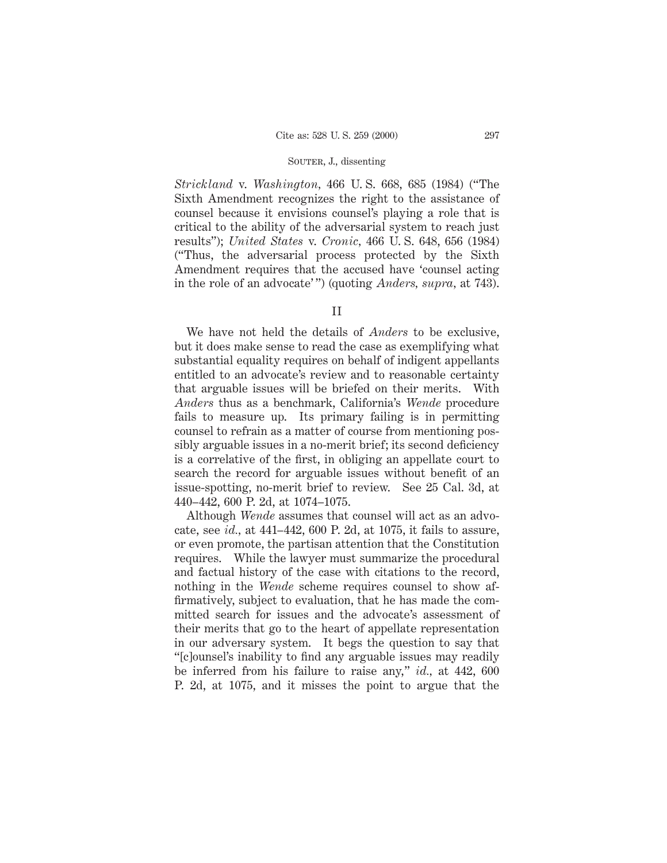*Strickland* v. *Washington,* 466 U. S. 668, 685 (1984) ("The Sixth Amendment recognizes the right to the assistance of counsel because it envisions counsel's playing a role that is critical to the ability of the adversarial system to reach just results"); *United States* v. *Cronic,* 466 U. S. 648, 656 (1984) ("Thus, the adversarial process protected by the Sixth Amendment requires that the accused have 'counsel acting in the role of an advocate' ") (quoting *Anders, supra,* at 743).

II

We have not held the details of *Anders* to be exclusive, but it does make sense to read the case as exemplifying what substantial equality requires on behalf of indigent appellants entitled to an advocate's review and to reasonable certainty that arguable issues will be briefed on their merits. With *Anders* thus as a benchmark, California's *Wende* procedure fails to measure up. Its primary failing is in permitting counsel to refrain as a matter of course from mentioning possibly arguable issues in a no-merit brief; its second deficiency is a correlative of the first, in obliging an appellate court to search the record for arguable issues without benefit of an issue-spotting, no-merit brief to review. See 25 Cal. 3d, at 440–442, 600 P. 2d, at 1074–1075.

Although *Wende* assumes that counsel will act as an advocate, see *id.,* at 441–442, 600 P. 2d, at 1075, it fails to assure, or even promote, the partisan attention that the Constitution requires. While the lawyer must summarize the procedural and factual history of the case with citations to the record, nothing in the *Wende* scheme requires counsel to show affirmatively, subject to evaluation, that he has made the committed search for issues and the advocate's assessment of their merits that go to the heart of appellate representation in our adversary system. It begs the question to say that "[c]ounsel's inability to find any arguable issues may readily be inferred from his failure to raise any," *id.,* at 442, 600 P. 2d, at 1075, and it misses the point to argue that the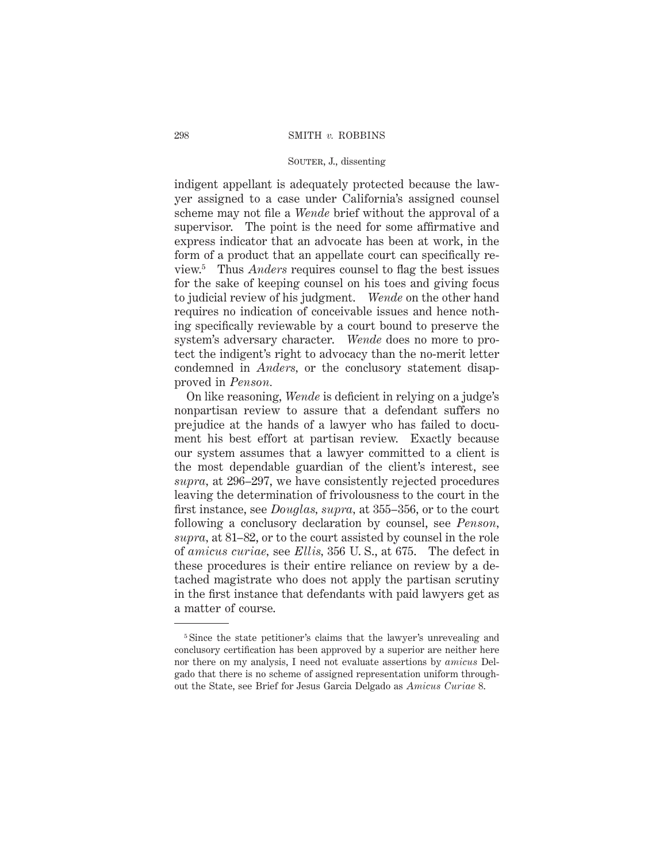indigent appellant is adequately protected because the lawyer assigned to a case under California's assigned counsel scheme may not file a *Wende* brief without the approval of a supervisor. The point is the need for some affirmative and express indicator that an advocate has been at work, in the form of a product that an appellate court can specifically review.5 Thus *Anders* requires counsel to flag the best issues for the sake of keeping counsel on his toes and giving focus to judicial review of his judgment. *Wende* on the other hand requires no indication of conceivable issues and hence nothing specifically reviewable by a court bound to preserve the system's adversary character. *Wende* does no more to protect the indigent's right to advocacy than the no-merit letter condemned in *Anders,* or the conclusory statement disapproved in *Penson.*

On like reasoning, *Wende* is deficient in relying on a judge's nonpartisan review to assure that a defendant suffers no prejudice at the hands of a lawyer who has failed to document his best effort at partisan review. Exactly because our system assumes that a lawyer committed to a client is the most dependable guardian of the client's interest, see *supra,* at 296–297, we have consistently rejected procedures leaving the determination of frivolousness to the court in the first instance, see *Douglas, supra,* at 355–356, or to the court following a conclusory declaration by counsel, see *Penson, supra,* at 81–82, or to the court assisted by counsel in the role of *amicus curiae,* see *Ellis,* 356 U. S., at 675. The defect in these procedures is their entire reliance on review by a detached magistrate who does not apply the partisan scrutiny in the first instance that defendants with paid lawyers get as a matter of course.

<sup>5</sup> Since the state petitioner's claims that the lawyer's unrevealing and conclusory certification has been approved by a superior are neither here nor there on my analysis, I need not evaluate assertions by *amicus* Delgado that there is no scheme of assigned representation uniform throughout the State, see Brief for Jesus Garcia Delgado as *Amicus Curiae* 8.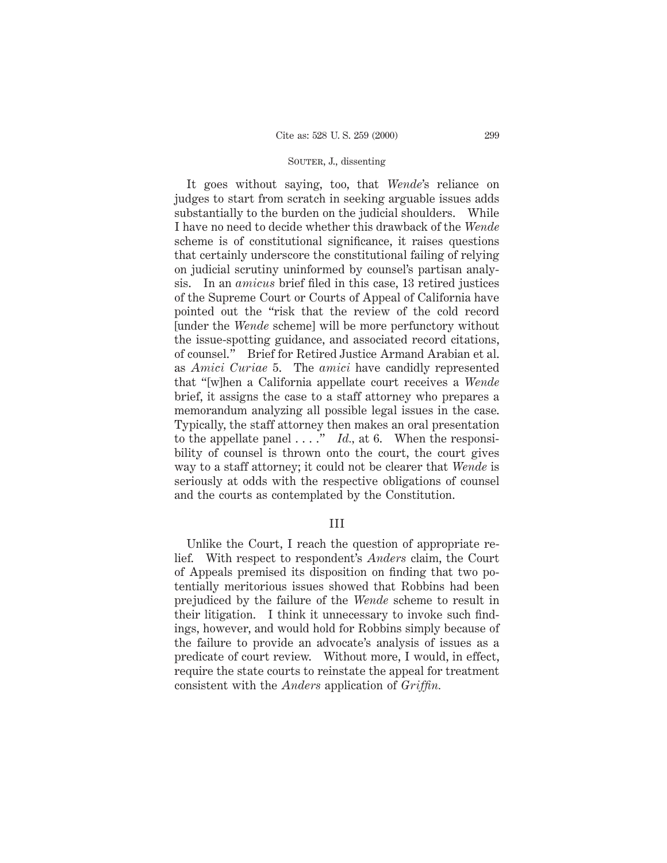It goes without saying, too, that *Wende*'s reliance on judges to start from scratch in seeking arguable issues adds substantially to the burden on the judicial shoulders. While I have no need to decide whether this drawback of the *Wende* scheme is of constitutional significance, it raises questions that certainly underscore the constitutional failing of relying on judicial scrutiny uninformed by counsel's partisan analysis. In an *amicus* brief filed in this case, 13 retired justices of the Supreme Court or Courts of Appeal of California have pointed out the "risk that the review of the cold record [under the *Wende* scheme] will be more perfunctory without the issue-spotting guidance, and associated record citations, of counsel." Brief for Retired Justice Armand Arabian et al. as *Amici Curiae* 5. The *amici* have candidly represented that "[w]hen a California appellate court receives a *Wende* brief, it assigns the case to a staff attorney who prepares a memorandum analyzing all possible legal issues in the case. Typically, the staff attorney then makes an oral presentation to the appellate panel . . . ." *Id.,* at 6. When the responsibility of counsel is thrown onto the court, the court gives way to a staff attorney; it could not be clearer that *Wende* is seriously at odds with the respective obligations of counsel and the courts as contemplated by the Constitution.

### III

Unlike the Court, I reach the question of appropriate relief. With respect to respondent's *Anders* claim, the Court of Appeals premised its disposition on finding that two potentially meritorious issues showed that Robbins had been prejudiced by the failure of the *Wende* scheme to result in their litigation. I think it unnecessary to invoke such findings, however, and would hold for Robbins simply because of the failure to provide an advocate's analysis of issues as a predicate of court review. Without more, I would, in effect, require the state courts to reinstate the appeal for treatment consistent with the *Anders* application of *Griffin.*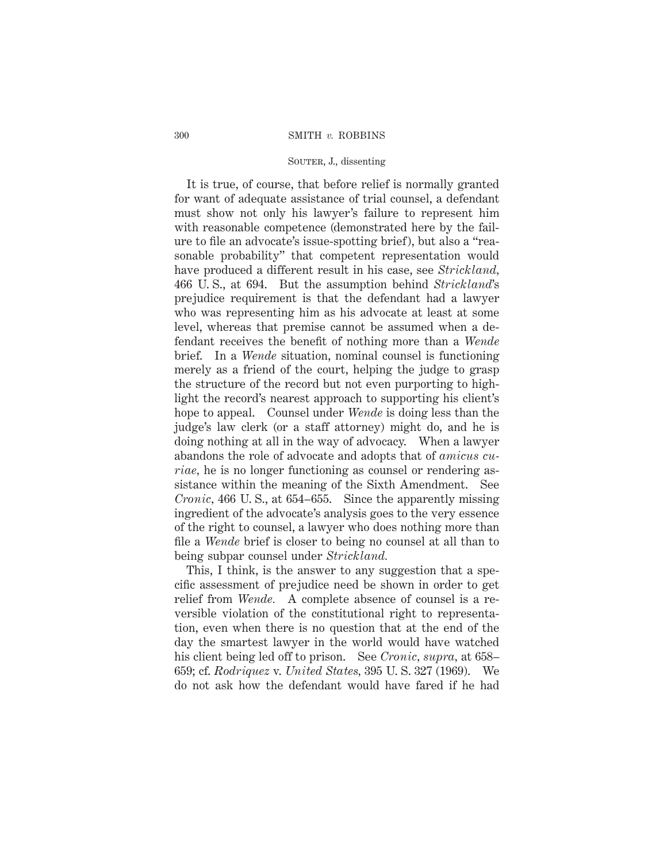It is true, of course, that before relief is normally granted for want of adequate assistance of trial counsel, a defendant must show not only his lawyer's failure to represent him with reasonable competence (demonstrated here by the failure to file an advocate's issue-spotting brief), but also a "reasonable probability" that competent representation would have produced a different result in his case, see *Strickland,* 466 U. S., at 694. But the assumption behind *Strickland*'s prejudice requirement is that the defendant had a lawyer who was representing him as his advocate at least at some level, whereas that premise cannot be assumed when a defendant receives the benefit of nothing more than a *Wende* brief. In a *Wende* situation, nominal counsel is functioning merely as a friend of the court, helping the judge to grasp the structure of the record but not even purporting to highlight the record's nearest approach to supporting his client's hope to appeal. Counsel under *Wende* is doing less than the judge's law clerk (or a staff attorney) might do, and he is doing nothing at all in the way of advocacy. When a lawyer abandons the role of advocate and adopts that of *amicus curiae,* he is no longer functioning as counsel or rendering assistance within the meaning of the Sixth Amendment. See *Cronic*, 466 U.S., at 654–655. Since the apparently missing ingredient of the advocate's analysis goes to the very essence of the right to counsel, a lawyer who does nothing more than file a *Wende* brief is closer to being no counsel at all than to being subpar counsel under *Strickland.*

This, I think, is the answer to any suggestion that a specific assessment of prejudice need be shown in order to get relief from *Wende.* A complete absence of counsel is a reversible violation of the constitutional right to representation, even when there is no question that at the end of the day the smartest lawyer in the world would have watched his client being led off to prison. See *Cronic, supra,* at 658– 659; cf. *Rodriquez* v. *United States,* 395 U. S. 327 (1969). We do not ask how the defendant would have fared if he had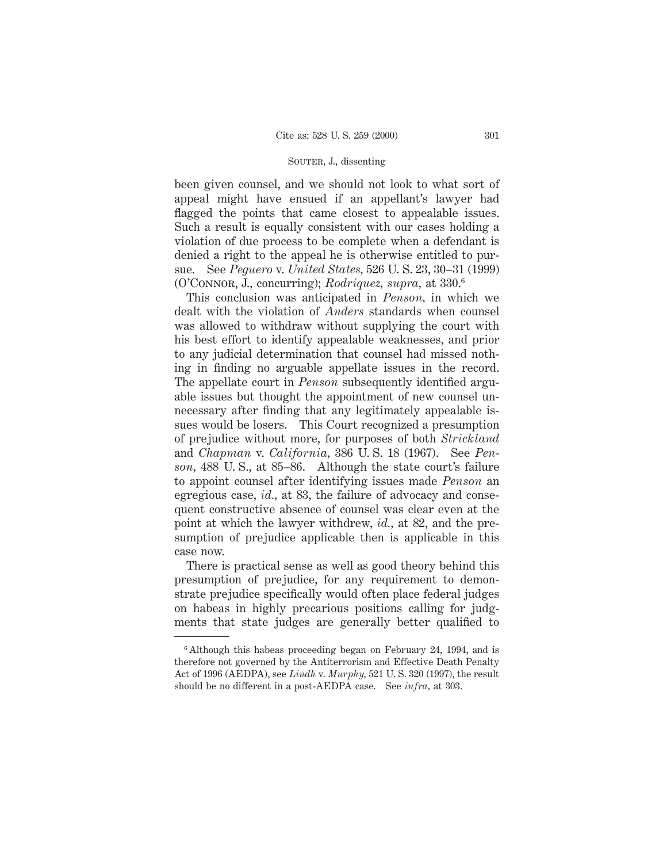been given counsel, and we should not look to what sort of appeal might have ensued if an appellant's lawyer had flagged the points that came closest to appealable issues. Such a result is equally consistent with our cases holding a violation of due process to be complete when a defendant is denied a right to the appeal he is otherwise entitled to pursue. See *Peguero* v. *United States,* 526 U. S. 23, 30–31 (1999) (O'Connor, J., concurring); *Rodriquez, supra,* at 330.6

This conclusion was anticipated in *Penson,* in which we dealt with the violation of *Anders* standards when counsel was allowed to withdraw without supplying the court with his best effort to identify appealable weaknesses, and prior to any judicial determination that counsel had missed nothing in finding no arguable appellate issues in the record. The appellate court in *Penson* subsequently identified arguable issues but thought the appointment of new counsel unnecessary after finding that any legitimately appealable issues would be losers. This Court recognized a presumption of prejudice without more, for purposes of both *Strickland* and *Chapman* v. *California,* 386 U. S. 18 (1967). See *Penson,* 488 U. S., at 85–86. Although the state court's failure to appoint counsel after identifying issues made *Penson* an egregious case, *id.,* at 83, the failure of advocacy and consequent constructive absence of counsel was clear even at the point at which the lawyer withdrew, *id.,* at 82, and the presumption of prejudice applicable then is applicable in this case now.

There is practical sense as well as good theory behind this presumption of prejudice, for any requirement to demonstrate prejudice specifically would often place federal judges on habeas in highly precarious positions calling for judgments that state judges are generally better qualified to

<sup>&</sup>lt;sup>6</sup> Although this habeas proceeding began on February 24, 1994, and is therefore not governed by the Antiterrorism and Effective Death Penalty Act of 1996 (AEDPA), see *Lindh* v. *Murphy,* 521 U. S. 320 (1997), the result should be no different in a post-AEDPA case. See *infra,* at 303.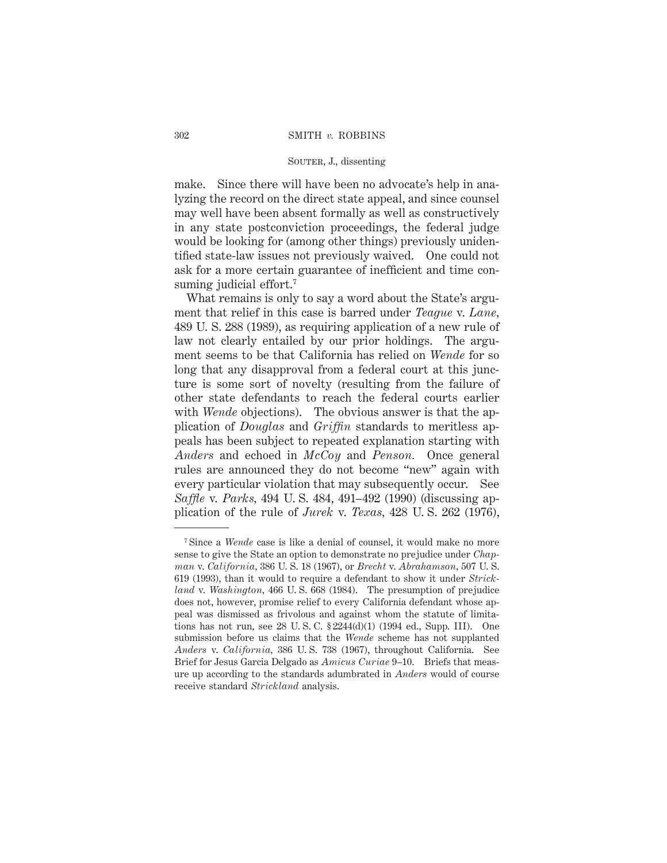make. Since there will have been no advocate's help in analyzing the record on the direct state appeal, and since counsel may well have been absent formally as well as constructively in any state postconviction proceedings, the federal judge would be looking for (among other things) previously unidentified state-law issues not previously waived. One could not ask for a more certain guarantee of inefficient and time consuming judicial effort.<sup>7</sup>

What remains is only to say a word about the State's argument that relief in this case is barred under *Teague* v. *Lane,* 489 U. S. 288 (1989), as requiring application of a new rule of law not clearly entailed by our prior holdings. The argument seems to be that California has relied on *Wende* for so long that any disapproval from a federal court at this juncture is some sort of novelty (resulting from the failure of other state defendants to reach the federal courts earlier with *Wende* objections). The obvious answer is that the application of *Douglas* and *Griffin* standards to meritless appeals has been subject to repeated explanation starting with *Anders* and echoed in *McCoy* and *Penson.* Once general rules are announced they do not become "new" again with every particular violation that may subsequently occur. See *Saffle* v. *Parks,* 494 U. S. 484, 491–492 (1990) (discussing application of the rule of *Jurek* v. *Texas,* 428 U. S. 262 (1976),

<sup>7</sup> Since a *Wende* case is like a denial of counsel, it would make no more sense to give the State an option to demonstrate no prejudice under *Chapman* v. *California,* 386 U. S. 18 (1967), or *Brecht* v. *Abrahamson,* 507 U. S. 619 (1993), than it would to require a defendant to show it under *Strickland* v. *Washington,* 466 U. S. 668 (1984). The presumption of prejudice does not, however, promise relief to every California defendant whose appeal was dismissed as frivolous and against whom the statute of limitations has not run, see 28 U. S. C. § 2244(d)(1) (1994 ed., Supp. III). One submission before us claims that the *Wende* scheme has not supplanted *Anders* v. *California,* 386 U. S. 738 (1967), throughout California. See Brief for Jesus Garcia Delgado as *Amicus Curiae* 9–10. Briefs that measure up according to the standards adumbrated in *Anders* would of course receive standard *Strickland* analysis.